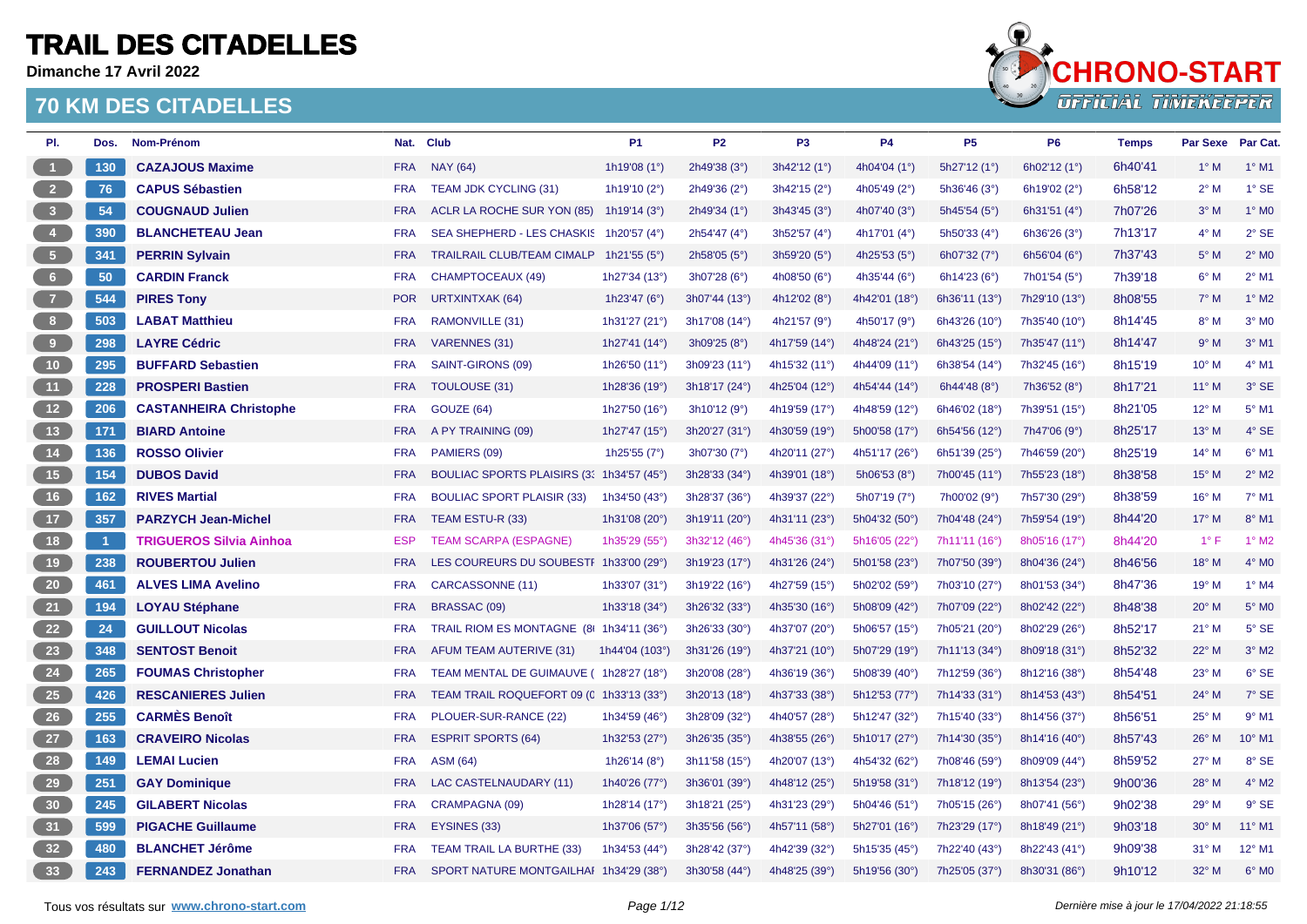**Dimanche 17 Avril 2022**



| PI.                     | Dos.           | Nom-Prénom                     | Nat.       | Club                                      | <b>P1</b>             | <b>P2</b>     | P <sub>3</sub> | <b>P4</b>              | <b>P5</b>             | <b>P6</b>     | <b>Temps</b> | Par Sexe Par Cat. |                            |
|-------------------------|----------------|--------------------------------|------------|-------------------------------------------|-----------------------|---------------|----------------|------------------------|-----------------------|---------------|--------------|-------------------|----------------------------|
| $\overline{1}$          | 130            | <b>CAZAJOUS Maxime</b>         | <b>FRA</b> | <b>NAY (64)</b>                           | 1h19'08 (1°)          | 2h49'38 (3°)  | 3h42'12 (1°)   | 4h04'04 (1°)           | 5h27'12 (1°)          | 6h02'12 (1°)  | 6h40'41      | $1^\circ$ M       | $1°$ M1                    |
|                         | 76             | <b>CAPUS Sébastien</b>         | <b>FRA</b> | TEAM JDK CYCLING (31)                     | 1h19'10 (2°)          | 2h49'36 (2°)  | 3h42'15 (2°)   | 4h05'49 (2°)           | 5h36'46 (3°)          | 6h19'02 (2°)  | 6h58'12      | $2^{\circ}$ M     | $1^\circ$ SE               |
| $\overline{\mathbf{3}}$ | 54             | <b>COUGNAUD Julien</b>         | <b>FRA</b> | ACLR LA ROCHE SUR YON (85)                | 1h19'14 (3°)          | 2h49'34 (1°)  | 3h43'45 (3°)   | 4h07'40 (3°)           | 5h45'54 (5°)          | 6h31'51 (4°)  | 7h07'26      | 3° M              | $1°$ MO                    |
| $\overline{4}$          | 390            | <b>BLANCHETEAU Jean</b>        | <b>FRA</b> | SEA SHEPHERD - LES CHASKIS                | 1h20'57 (4°)          | 2h54'47 (4°)  | 3h52'57 (4°)   | 4h17'01 (4°)           | 5h50'33 (4°)          | 6h36'26 (3°)  | 7h13'17      | $4^\circ$ M       | $2°$ SE                    |
| $\frac{1}{2}$           | 341            | <b>PERRIN Sylvain</b>          | <b>FRA</b> | <b>TRAILRAIL CLUB/TEAM CIMALP</b>         | 1h21'55 $(5^{\circ})$ | 2h58'05 (5°)  | 3h59'20 (5°)   | 4h25'53 (5°)           | 6h07'32 (7°)          | 6h56'04 (6°)  | 7h37'43      | $5^\circ$ M       | $2^{\circ}$ M <sub>0</sub> |
| 6 <sub>6</sub>          | 50             | <b>CARDIN Franck</b>           | <b>FRA</b> | CHAMPTOCEAUX (49)                         | 1h27'34 (13°)         | 3h07'28 (6°)  | 4h08'50 (6°)   | 4h35'44 (6°)           | 6h14'23 $(6^{\circ})$ | 7h01'54 (5°)  | 7h39'18      | $6^\circ$ M       | $2^{\circ}$ M1             |
| $\overline{z}$          | 544            | <b>PIRES Tony</b>              | <b>POR</b> | <b>URTXINTXAK (64)</b>                    | 1h23'47 (6°)          | 3h07'44 (13°) | 4h12'02 (8°)   | 4h42'01 (18°)          | 6h36'11 (13°)         | 7h29'10 (13°) | 8h08'55      | $7^\circ$ M       | $1^\circ$ M2               |
| 8 <sup>1</sup>          | 503            | <b>LABAT Matthieu</b>          | <b>FRA</b> | RAMONVILLE (31)                           | 1h31'27 (21°)         | 3h17'08 (14°) | 4h21'57 (9°)   | 4h50'17 (9°)           | 6h43'26 (10°)         | 7h35'40 (10°) | 8h14'45      | $8^\circ$ M       | $3°$ MO                    |
| 9                       | 298            | <b>LAYRE Cédric</b>            | <b>FRA</b> | VARENNES (31)                             | 1h27'41 (14°)         | 3h09'25 (8°)  | 4h17'59 (14°)  | 4h48'24 (21°)          | 6h43'25 (15°)         | 7h35'47 (11°) | 8h14'47      | $9^\circ$ M       | $3°$ M1                    |
| 10                      | 295            | <b>BUFFARD Sebastien</b>       | <b>FRA</b> | SAINT-GIRONS (09)                         | 1h26'50 (11°)         | 3h09'23 (11°) | 4h15'32 (11°)  | 4h44'09 (11°)          | 6h38'54 (14°)         | 7h32'45 (16°) | 8h15'19      | $10^{\circ}$ M    | $4°$ M1                    |
| (11)                    | 228            | <b>PROSPERI Bastien</b>        | <b>FRA</b> | TOULOUSE (31)                             | 1h28'36 (19°)         | 3h18'17 (24°) | 4h25'04 (12°)  | 4h54'44 (14°)          | 6h44'48 (8°)          | 7h36'52 (8°)  | 8h17'21      | $11^{\circ}$ M    | 3° SE                      |
| 12                      | 206            | <b>CASTANHEIRA Christophe</b>  | <b>FRA</b> | GOUZE (64)                                | 1h27'50 (16°)         | 3h10'12 (9°)  | 4h19'59 (17°)  | 4h48'59 (12°)          | 6h46'02 (18°)         | 7h39'51 (15°) | 8h21'05      | $12^{\circ}$ M    | 5° M1                      |
| 13                      | 171            | <b>BIARD Antoine</b>           | <b>FRA</b> | A PY TRAINING (09)                        | 1h27'47 (15°)         | 3h20'27 (31°) | 4h30'59 (19°)  | 5h00'58 (17°)          | 6h54'56 (12°)         | 7h47'06 (9°)  | 8h25'17      | $13^{\circ}$ M    | 4° SE                      |
| 14                      | 136            | <b>ROSSO Olivier</b>           | <b>FRA</b> | PAMIERS (09)                              | 1h25'55 (7°)          | 3h07'30 (7°)  | 4h20'11 (27°)  | 4h51'17 (26°)          | 6h51'39 (25°)         | 7h46'59 (20°) | 8h25'19      | $14^{\circ}$ M    | 6° M1                      |
| 15                      | 154            | <b>DUBOS David</b>             | <b>FRA</b> | BOULIAC SPORTS PLAISIRS (3: 1h34'57 (45°) |                       | 3h28'33 (34°) | 4h39'01 (18°)  | 5h06'53 (8°)           | 7h00'45 (11°)         | 7h55'23 (18°) | 8h38'58      | 15° M             | $2^{\circ}$ M2             |
| 16                      | 162            | <b>RIVES Martial</b>           | <b>FRA</b> | <b>BOULIAC SPORT PLAISIR (33)</b>         | 1h34'50 (43°)         | 3h28'37 (36°) | 4h39'37 (22°)  | 5h07'19 (7°)           | 7h00'02 (9°)          | 7h57'30 (29°) | 8h38'59      | 16° M             | $7°$ M1                    |
| $-17$                   | 357            | <b>PARZYCH Jean-Michel</b>     | <b>FRA</b> | TEAM ESTU-R (33)                          | 1h31'08 (20°)         | 3h19'11 (20°) | 4h31'11 (23°)  | 5h04'32 $(50^{\circ})$ | 7h04'48 (24°)         | 7h59'54 (19°) | 8h44'20      | $17^{\circ}$ M    | $8^\circ$ M1               |
| 18                      | $\overline{1}$ | <b>TRIGUEROS Silvia Ainhoa</b> | <b>ESP</b> | <b>TEAM SCARPA (ESPAGNE)</b>              | 1h35'29 (55°)         | 3h32'12 (46°) | 4h45'36 (31°)  | 5h16'05 (22°)          | 7h11'11 (16°)         | 8h05'16 (17°) | 8h44'20      | $1^{\circ}$ F     | $1^\circ$ M2               |
| 19                      | 238            | <b>ROUBERTOU Julien</b>        | <b>FRA</b> | LES COUREURS DU SOUBESTF 1h33'00 (29°)    |                       | 3h19'23 (17°) | 4h31'26 (24°)  | 5h01'58 (23°)          | 7h07'50 (39°)         | 8h04'36 (24°) | 8h46'56      | 18° M             | $4^\circ$ MO               |
| 20                      | 461            | <b>ALVES LIMA Avelino</b>      | <b>FRA</b> | CARCASSONNE (11)                          | 1h33'07 (31°)         | 3h19'22 (16°) | 4h27'59 (15°)  | 5h02'02 (59°)          | 7h03'10 (27°)         | 8h01'53 (34°) | 8h47'36      | $19°$ M           | $1°$ M4                    |
| 21                      | 194            | <b>LOYAU Stéphane</b>          | <b>FRA</b> | BRASSAC (09)                              | 1h33'18 (34°)         | 3h26'32 (33°) | 4h35'30 (16°)  | 5h08'09 (42°)          | 7h07'09 (22°)         | 8h02'42 (22°) | 8h48'38      | $20^\circ$ M      | $5^\circ$ MO               |
| 22                      | 24             | <b>GUILLOUT Nicolas</b>        | <b>FRA</b> | TRAIL RIOM ES MONTAGNE (81 1h34'11 (36°)  |                       | 3h26'33 (30°) | 4h37'07 (20°)  | 5h06'57 (15°)          | 7h05'21 (20°)         | 8h02'29 (26°) | 8h52'17      | $21^{\circ}$ M    | 5° SE                      |
| 23                      | 348            | <b>SENTOST Benoit</b>          | <b>FRA</b> | AFUM TEAM AUTERIVE (31)                   | 1h44'04 (103°)        | 3h31'26 (19°) | 4h37'21 (10°)  | 5h07'29 (19°)          | 7h11'13 (34°)         | 8h09'18 (31°) | 8h52'32      | $22^{\circ}$ M    | $3°$ M <sub>2</sub>        |
| 24                      | 265            | <b>FOUMAS Christopher</b>      | <b>FRA</b> | TEAM MENTAL DE GUIMAUVE (1h28'27 (18°)    |                       | 3h20'08 (28°) | 4h36'19 (36°)  | 5h08'39 (40°)          | 7h12'59 (36°)         | 8h12'16 (38°) | 8h54'48      | 23° M             | 6° SE                      |
| 25                      | 426            | <b>RESCANIERES Julien</b>      | <b>FRA</b> | TEAM TRAIL ROQUEFORT 09 (0 1h33'13 (33°)  |                       | 3h20'13 (18°) | 4h37'33 (38°)  | 5h12'53 (77°)          | 7h14'33 (31°)         | 8h14'53 (43°) | 8h54'51      | $24^{\circ}$ M    | 7° SE                      |
| 26                      | 255            | <b>CARMÈS Benoît</b>           | <b>FRA</b> | PLOUER-SUR-RANCE (22)                     | 1h34'59 (46°)         | 3h28'09 (32°) | 4h40'57 (28°)  | 5h12'47 (32°)          | 7h15'40 (33°)         | 8h14'56 (37°) | 8h56'51      | $25^{\circ}$ M    | $9°$ M <sub>1</sub>        |
| 27                      | 163            | <b>CRAVEIRO Nicolas</b>        | <b>FRA</b> | <b>ESPRIT SPORTS (64)</b>                 | 1h32'53 (27°)         | 3h26'35 (35°) | 4h38'55 (26°)  | 5h10'17 (27°)          | 7h14'30 (35°)         | 8h14'16 (40°) | 8h57'43      | $26^{\circ}$ M    | 10° M1                     |
| 28                      | 149            | <b>LEMAI Lucien</b>            | <b>FRA</b> | ASM (64)                                  | 1h26'14 $(8°)$        | 3h11'58 (15°) | 4h20'07 (13°)  | 4h54'32 (62°)          | 7h08'46 (59°)         | 8h09'09 (44°) | 8h59'52      | $27^\circ$ M      | 8° SE                      |
| 29                      | 251            | <b>GAY Dominique</b>           | <b>FRA</b> | LAC CASTELNAUDARY (11)                    | 1h40'26 (77°)         | 3h36'01 (39°) | 4h48'12 (25°)  | 5h19'58 (31°)          | 7h18'12 (19°)         | 8h13'54 (23°) | 9h00'36      | $28^\circ$ M      | $4^\circ$ M2               |
| 30 <sup>°</sup>         | 245            | <b>GILABERT Nicolas</b>        | <b>FRA</b> | CRAMPAGNA (09)                            | 1h28'14 (17°)         | 3h18'21 (25°) | 4h31'23 (29°)  | 5h04'46 (51°)          | 7h05'15 (26°)         | 8h07'41 (56°) | 9h02'38      | 29° M             | 9° SE                      |
| 31                      | 599            | <b>PIGACHE Guillaume</b>       | <b>FRA</b> | EYSINES (33)                              | 1h37'06 (57°)         | 3h35'56 (56°) | 4h57'11 (58°)  | 5h27'01 (16°)          | 7h23'29 (17°)         | 8h18'49 (21°) | 9h03'18      | $30^\circ$ M      | 11° M1                     |
| 32                      | 480            | <b>BLANCHET Jérôme</b>         | <b>FRA</b> | TEAM TRAIL LA BURTHE (33)                 | 1h34'53 (44°)         | 3h28'42 (37°) | 4h42'39 (32°)  | 5h15'35 (45°)          | 7h22'40 (43°)         | 8h22'43 (41°) | 9h09'38      | $31^\circ$ M      | 12° M1                     |
| 33                      | 243            | <b>FERNANDEZ Jonathan</b>      | <b>FRA</b> | SPORT NATURE MONTGAILHAI 1h34'29 (38°)    |                       | 3h30'58 (44°) | 4h48'25 (39°)  | 5h19'56 (30°)          | 7h25'05 (37°)         | 8h30'31 (86°) | 9h10'12      | 32° M             | $6^\circ$ MO               |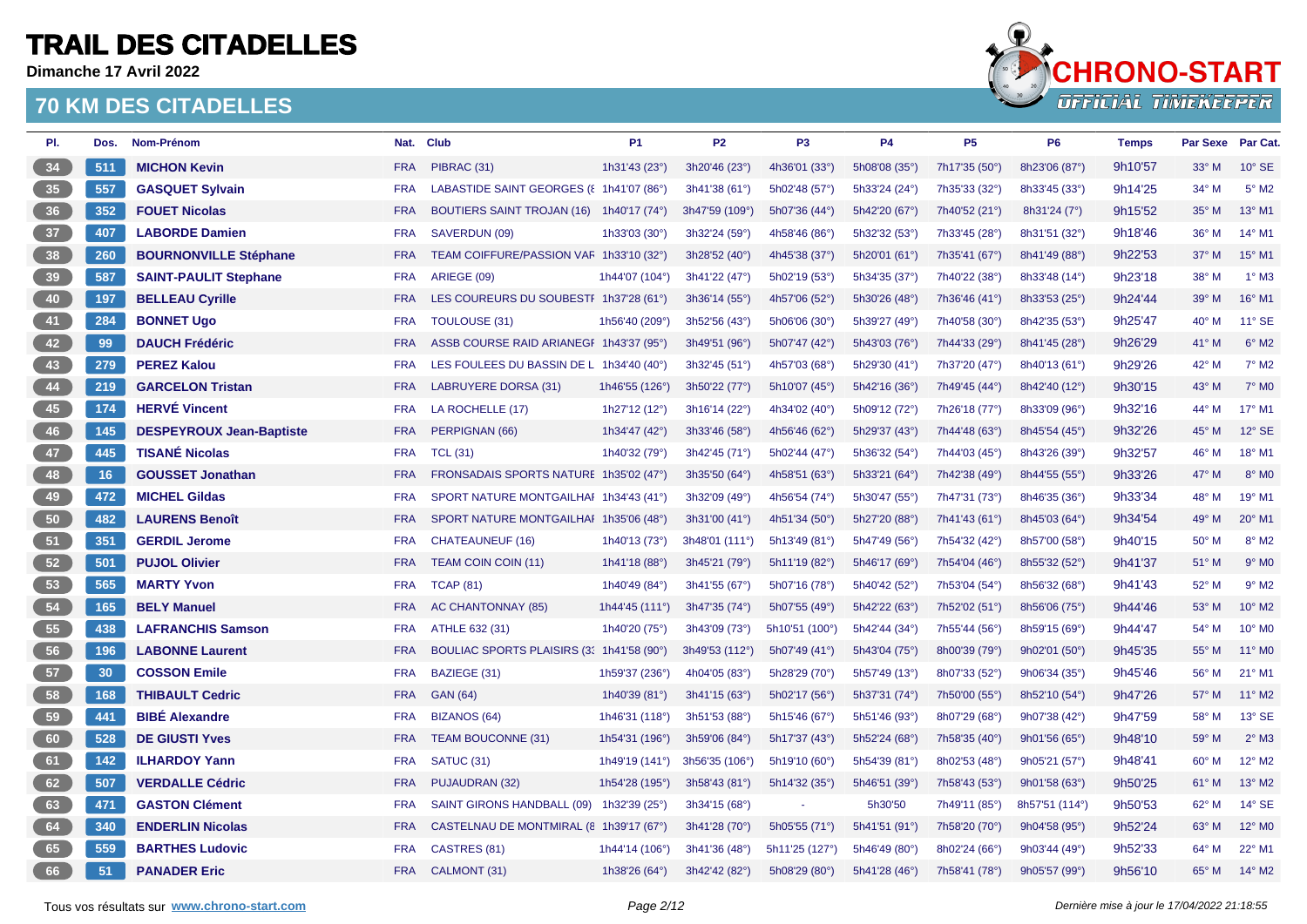**Dimanche 17 Avril 2022**



| PI.      | Dos. | Nom-Prénom                      |            | Nat. Club                                 | <b>P1</b>      | <b>P2</b>      | P <sub>3</sub> | <b>P4</b>     | <b>P5</b>     | P <sub>6</sub>           | <b>Temps</b> | Par Sexe Par Cat. |                          |
|----------|------|---------------------------------|------------|-------------------------------------------|----------------|----------------|----------------|---------------|---------------|--------------------------|--------------|-------------------|--------------------------|
| 34       | 511  | <b>MICHON Kevin</b>             | <b>FRA</b> | PIBRAC (31)                               | 1h31'43 (23°)  | 3h20'46 (23°)  | 4h36'01 (33°)  | 5h08'08 (35°) | 7h17'35 (50°) | 8h23'06 (87°)            | 9h10'57      | 33° M             | $10^{\circ}$ SE          |
| 35       | 557  | <b>GASQUET Sylvain</b>          | <b>FRA</b> | LABASTIDE SAINT GEORGES ({ 1h41'07 (86°)  |                | 3h41'38 (61°)  | 5h02'48 (57°)  | 5h33'24 (24°) | 7h35'33 (32°) | 8h33'45 (33°)            | 9h14'25      | $34^\circ$ M      | $5^\circ$ M2             |
| 36       | 352  | <b>FOUET Nicolas</b>            | <b>FRA</b> | BOUTIERS SAINT TROJAN (16) 1h40'17 (74°)  |                | 3h47'59 (109°) | 5h07'36 (44°)  | 5h42'20 (67°) | 7h40'52 (21°) | 8h31'24 (7°)             | 9h15'52      | 35° M             | 13° M1                   |
| 37       | 407  | <b>LABORDE Damien</b>           | <b>FRA</b> | SAVERDUN (09)                             | 1h33'03 (30°)  | 3h32'24 (59°)  | 4h58'46 (86°)  | 5h32'32 (53°) | 7h33'45 (28°) | 8h31'51 (32°)            | 9h18'46      | 36° M             | 14° M1                   |
| 38       | 260  | <b>BOURNONVILLE Stéphane</b>    | <b>FRA</b> | TEAM COIFFURE/PASSION VAF 1h33'10 (32°)   |                | 3h28'52 (40°)  | 4h45'38 (37°   | 5h20'01 (61°) | 7h35'41 (67°) | 8h41'49 (88°)            | 9h22'53      | 37° M             | 15° M1                   |
| 39       | 587  | <b>SAINT-PAULIT Stephane</b>    | <b>FRA</b> | ARIEGE (09)                               | 1h44'07 (104°) | 3h41'22 (47°)  | 5h02'19 (53°)  | 5h34'35 (37°) | 7h40'22 (38°) | 8h33'48 (14°)            | 9h23'18      | 38° M             | $1^\circ$ M3             |
| 40       | 197  | <b>BELLEAU Cyrille</b>          | <b>FRA</b> | LES COUREURS DU SOUBESTF 1h37'28 (61°)    |                | 3h36'14 (55°)  | 4h57'06 (52°)  | 5h30'26 (48°) | 7h36'46 (41°) | 8h33'53 (25°)            | 9h24'44      | $39^\circ$ M      | 16° M1                   |
| 41       | 284  | <b>BONNET Ugo</b>               | <b>FRA</b> | TOULOUSE (31)                             | 1h56'40 (209°) | 3h52'56 (43°)  | 5h06'06 (30°)  | 5h39'27 (49°) | 7h40'58 (30°) | 8h42'35 (53°)            | 9h25'47      | 40° M             | 11° SE                   |
| 42       | 99   | <b>DAUCH Frédéric</b>           | <b>FRA</b> | ASSB COURSE RAID ARIANEGF 1h43'37 (95°)   |                | 3h49'51 (96°)  | 5h07'47 (42°)  | 5h43'03 (76°) | 7h44'33 (29°) | 8h41'45 (28°)            | 9h26'29      | 41° M             | $6^\circ$ M2             |
| 43       | 279  | <b>PEREZ Kalou</b>              | <b>FRA</b> | LES FOULEES DU BASSIN DE L 1h34'40 (40°)  |                | 3h32'45 (51°)  | 4h57'03 (68°)  | 5h29'30 (41°) | 7h37'20 (47°) | 8h40'13 (61°)            | 9h29'26      | 42° M             | $7°$ M <sub>2</sub>      |
| 44       | 219  | <b>GARCELON Tristan</b>         | <b>FRA</b> | <b>LABRUYERE DORSA (31)</b>               | 1h46'55 (126°) | 3h50'22 (77°)  | 5h10'07 (45°)  | 5h42'16 (36°) | 7h49'45 (44°) | 8h42'40 (12°)            | 9h30'15      | 43° M             | $7^\circ$ M <sub>0</sub> |
| 45       | 174  | <b>HERVÉ Vincent</b>            | <b>FRA</b> | LA ROCHELLE (17)                          | 1h27'12 (12°)  | 3h16'14 (22°)  | 4h34'02 (40°)  | 5h09'12 (72°) | 7h26'18 (77°) | 8h33'09 (96°)            | 9h32'16      | 44° M             | 17° M1                   |
| 46       | 145  | <b>DESPEYROUX Jean-Baptiste</b> | <b>FRA</b> | PERPIGNAN (66)                            | 1h34'47 (42°)  | 3h33'46 (58°)  | 4h56'46 (62°)  | 5h29'37 (43°) | 7h44'48 (63°) | 8h45'54 (45°)            | 9h32'26      | 45° M             | 12° SE                   |
| 47       | 445  | <b>TISANÉ Nicolas</b>           | <b>FRA</b> | <b>TCL (31)</b>                           | 1h40'32 (79°)  | 3h42'45 (71°)  | 5h02'44 (47°)  | 5h36'32 (54°) | 7h44'03 (45°) | 8h43'26 (39°)            | 9h32'57      | 46° M             | 18° M1                   |
| 48       | 16   | <b>GOUSSET Jonathan</b>         | <b>FRA</b> | FRONSADAIS SPORTS NATURE 1h35'02 (47°)    |                | 3h35'50 (64°)  | 4h58'51 (63°)  | 5h33'21 (64°) | 7h42'38 (49°) | 8h44'55 (55°)            | 9h33'26      | 47° M             | $8^\circ$ MO             |
| 49       | 472  | <b>MICHEL Gildas</b>            | <b>FRA</b> | SPORT NATURE MONTGAILHAI 1h34'43 (41°)    |                | 3h32'09 (49°)  | 4h56'54 (74°)  | 5h30'47 (55°) | 7h47'31 (73°) | 8h46'35 (36°)            | 9h33'34      | 48° M             | 19° M1                   |
| 50       | 482  | <b>LAURENS Benoît</b>           | <b>FRA</b> | SPORT NATURE MONTGAILHAI 1h35'06 (48°)    |                | 3h31'00 (41°)  | 4h51'34 (50°)  | 5h27'20 (88°) | 7h41'43 (61°) | 8h45'03 (64°)            | 9h34'54      | 49° M             | 20° M1                   |
| 51<br>r. | 351  | <b>GERDIL Jerome</b>            | <b>FRA</b> | CHATEAUNEUF (16)                          | 1h40'13 (73°)  | 3h48'01 (111°) | 5h13'49 (81°)  | 5h47'49 (56°) | 7h54'32 (42°) | 8h57'00 (58°)            | 9h40'15      | 50° M             | $8^\circ$ M2             |
| 52       | 501  | <b>PUJOL Olivier</b>            | <b>FRA</b> | TEAM COIN COIN (11)                       | 1h41'18 (88°)  | 3h45'21 (79°)  | 5h11'19 (82°)  | 5h46'17 (69°) | 7h54'04 (46°) | 8h55'32 (52°)            | 9h41'37      | 51° M             | $9°$ M <sub>0</sub>      |
| 53       | 565  | <b>MARTY Yvon</b>               | <b>FRA</b> | <b>TCAP (81)</b>                          | 1h40'49 (84°)  | 3h41'55 (67°)  | 5h07'16 (78°)  | 5h40'42 (52°) | 7h53'04 (54°) | 8h56'32 (68°)            | 9h41'43      | 52° M             | $9°$ M <sub>2</sub>      |
| 54       | 165  | <b>BELY Manuel</b>              | <b>FRA</b> | <b>AC CHANTONNAY (85)</b>                 | 1h44'45 (111°) | 3h47'35 (74°)  | 5h07'55 (49°)  | 5h42'22 (63°) | 7h52'02 (51°) | 8h56'06 (75°)            | 9h44'46      | 53° M             | 10° M2                   |
| 55       | 438  | <b>LAFRANCHIS Samson</b>        | <b>FRA</b> | ATHLE 632 (31)                            | 1h40'20 (75°)  | 3h43'09 (73°)  | 5h10'51 (100°) | 5h42'44 (34°) | 7h55'44 (56°) | 8h59'15 (69°)            | 9h44'47      | $54^{\circ}$ M    | 10° M0                   |
| 56       | 196  | <b>LABONNE Laurent</b>          | <b>FRA</b> | BOULIAC SPORTS PLAISIRS (3: 1h41'58 (90°) |                | 3h49'53 (112°) | 5h07'49 (41°)  | 5h43'04 (75°) | 8h00'39 (79°) | 9h02'01 (50 $^{\circ}$ ) | 9h45'35      | 55° M             | 11° MO                   |
| 57       | 30   | <b>COSSON Emile</b>             | <b>FRA</b> | BAZIEGE (31)                              | 1h59'37 (236°) | 4h04'05 (83°)  | 5h28'29 (70°)  | 5h57'49 (13°) | 8h07'33 (52°) | 9h06'34 (35°)            | 9h45'46      | 56° M             | 21° M1                   |
| 58       | 168  | <b>THIBAULT Cedric</b>          | <b>FRA</b> | <b>GAN (64)</b>                           | 1h40'39 (81°)  | 3h41'15 (63°)  | 5h02'17 (56°)  | 5h37'31 (74°) | 7h50'00 (55°) | 8h52'10 (54°)            | 9h47'26      | 57° M             | $11^{\circ}$ M2          |
| 59       | 441  | <b>BIBÉ Alexandre</b>           | <b>FRA</b> | BIZANOS (64)                              | 1h46'31 (118°) | 3h51'53 (88°)  | 5h15'46 (67°)  | 5h51'46 (93°) | 8h07'29 (68°) | 9h07'38 (42°)            | 9h47'59      | 58° M             | 13° SE                   |
| 60       | 528  | <b>DE GIUSTI Yves</b>           | <b>FRA</b> | TEAM BOUCONNE (31)                        | 1h54'31 (196°) | 3h59'06 (84°)  | 5h17'37 (43°)  | 5h52'24 (68°) | 7h58'35 (40°) | 9h01'56 (65°)            | 9h48'10      | 59° M             | $2^{\circ}$ M3           |
| 61       | 142  | <b>ILHARDOY Yann</b>            | <b>FRA</b> | SATUC <sub>(31)</sub>                     | 1h49'19 (141°) | 3h56'35 (106°) | 5h19'10 (60°)  | 5h54'39 (81°) | 8h02'53 (48°) | 9h05'21 (57°)            | 9h48'41      | 60° M             | 12° M2                   |
| 62       | 507  | <b>VERDALLE Cédric</b>          | <b>FRA</b> | <b>PUJAUDRAN (32)</b>                     | 1h54'28 (195°) | 3h58'43 (81°)  | 5h14'32 (35°)  | 5h46'51 (39°) | 7h58'43 (53°) | 9h01'58 (63°)            | 9h50'25      | $61^\circ$ M      | 13° M2                   |
| 63       | 471  | <b>GASTON Clément</b>           | <b>FRA</b> | SAINT GIRONS HANDBALL (09)                | 1h32'39 (25°)  | 3h34'15 (68°)  |                | 5h30'50       | 7h49'11 (85°) | 8h57'51 (114°)           | 9h50'53      | 62° M             | 14° SE                   |
| 64       | 340  | <b>ENDERLIN Nicolas</b>         | <b>FRA</b> | CASTELNAU DE MONTMIRAL (8 1h39'17 (67°)   |                | 3h41'28 (70°)  | 5h05'55 (71°)  | 5h41'51 (91°) | 7h58'20 (70°) | 9h04'58 (95°)            | 9h52'24      | $63^\circ$ M      | 12° MO                   |
| 65       | 559  | <b>BARTHES Ludovic</b>          | <b>FRA</b> | CASTRES (81)                              | 1h44'14 (106°) | 3h41'36 (48°)  | 5h11'25 (127°  | 5h46'49 (80°) | 8h02'24 (66°) | 9h03'44 (49°)            | 9h52'33      | 64° M             | 22° M1                   |
| 66       | 51   | <b>PANADER Eric</b>             | <b>FRA</b> | CALMONT (31)                              | 1h38'26 (64°)  | 3h42'42 (82°)  | 5h08'29 (80°)  | 5h41'28 (46°) | 7h58'41 (78°) | 9h05'57 (99°)            | 9h56'10      | 65° M             | 14° M2                   |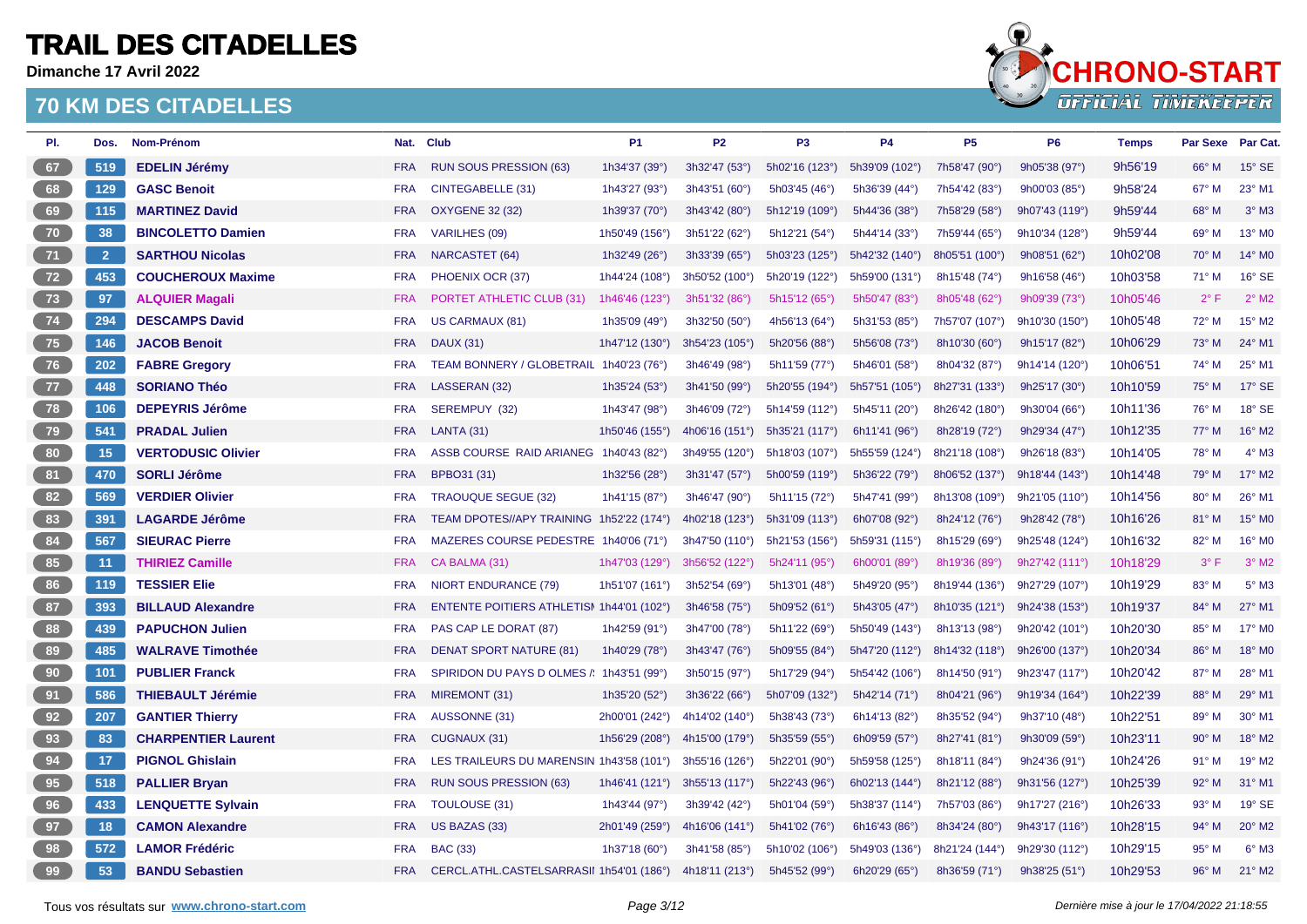**Dimanche 17 Avril 2022**



| PI.          | Dos.           | Nom-Prénom                 |            | Nat. Club                                 | <b>P1</b>      | <b>P2</b>      | P <sub>3</sub> | <b>P4</b>      | <b>P5</b>      | <b>P6</b>      | <b>Temps</b> | Par Sexe Par Cat. |                     |
|--------------|----------------|----------------------------|------------|-------------------------------------------|----------------|----------------|----------------|----------------|----------------|----------------|--------------|-------------------|---------------------|
| 67           | 519            | <b>EDELIN Jérémy</b>       | <b>FRA</b> | <b>RUN SOUS PRESSION (63)</b>             | 1h34'37 (39°)  | 3h32'47 (53°)  | 5h02'16 (123°) | 5h39'09 (102°) | 7h58'47 (90°)  | 9h05'38 (97°)  | 9h56'19      | 66° M             | $15^\circ$ SE       |
| 68           | 129            | <b>GASC Benoit</b>         | <b>FRA</b> | CINTEGABELLE (31)                         | 1h43'27 (93°)  | 3h43'51 (60°)  | 5h03'45 (46°)  | 5h36'39 (44°)  | 7h54'42 (83°)  | 9h00'03 (85°)  | 9h58'24      | $67^\circ$ M      | 23° M1              |
| 69           | 115            | <b>MARTINEZ David</b>      | <b>FRA</b> | <b>OXYGENE 32 (32)</b>                    | 1h39'37 (70°)  | 3h43'42 (80°)  | 5h12'19 (109°) | 5h44'36 (38°)  | 7h58'29 (58°)  | 9h07'43 (119°) | 9h59'44      | $68^\circ$ M      | $3°$ M <sub>3</sub> |
| $70^{\circ}$ | 38             | <b>BINCOLETTO Damien</b>   | <b>FRA</b> | <b>VARILHES (09)</b>                      | 1h50'49 (156°) | 3h51'22 (62°)  | 5h12'21 (54°)  | 5h44'14 (33°)  | 7h59'44 (65°)  | 9h10'34 (128°) | 9h59'44      | 69° M             | 13° MO              |
| 71           | $\overline{2}$ | <b>SARTHOU Nicolas</b>     | <b>FRA</b> | <b>NARCASTET (64)</b>                     | 1h32'49 (26°)  | 3h33'39 (65°)  | 5h03'23 (125°) | 5h42'32 (140°) | 8h05'51 (100°) | 9h08'51 (62°)  | 10h02'08     | $70^\circ$ M      | 14° M0              |
| 72           | 453            | <b>COUCHEROUX Maxime</b>   | <b>FRA</b> | PHOENIX OCR (37)                          | 1h44'24 (108°) | 3h50'52 (100°) | 5h20'19 (122°) | 5h59'00 (131°) | 8h15'48 (74°)  | 9h16'58 (46°)  | 10h03'58     | $71^\circ$ M      | 16° SE              |
| $73$         | 97             | <b>ALQUIER Magali</b>      | <b>FRA</b> | PORTET ATHLETIC CLUB (31)                 | 1h46'46 (123°) | 3h51'32 (86°)  | 5h15'12 (65°)  | 5h50'47 (83°)  | 8h05'48 (62°)  | 9h09'39 (73°)  | 10h05'46     | $2^{\circ}$ F     | $2^{\circ}$ M2      |
| 74           | 294            | <b>DESCAMPS David</b>      | <b>FRA</b> | <b>US CARMAUX (81)</b>                    | 1h35'09 (49°)  | 3h32'50 (50°)  | 4h56'13 (64°)  | 5h31'53 (85°)  | 7h57'07 (107°) | 9h10'30 (150°) | 10h05'48     | 72° M             | 15° M2              |
| 75           | 146            | <b>JACOB Benoit</b>        | <b>FRA</b> | <b>DAUX (31)</b>                          | 1h47'12 (130°) | 3h54'23 (105°) | 5h20'56 (88°)  | 5h56'08 (73°)  | 8h10'30 (60°)  | 9h15'17 (82°)  | 10h06'29     | $73^\circ$ M      | 24° M1              |
| $76$         | 202            | <b>FABRE Gregory</b>       | <b>FRA</b> | TEAM BONNERY / GLOBETRAIL 1h40'23 (76°)   |                | 3h46'49 (98°)  | 5h11'59 (77°)  | 5h46'01 (58°)  | 8h04'32 (87°)  | 9h14'14 (120°) | 10h06'51     | $74^\circ$ M      | 25° M1              |
| 77           | 448            | <b>SORIANO Théo</b>        | <b>FRA</b> | LASSERAN (32)                             | 1h35'24 (53°)  | 3h41'50 (99°)  | 5h20'55 (194°) | 5h57'51 (105°) | 8h27'31 (133°) | 9h25'17 (30°)  | 10h10'59     | $75^\circ$ M      | $17^\circ$ SE       |
| 78           | 106            | <b>DEPEYRIS Jérôme</b>     | <b>FRA</b> | SEREMPUY (32)                             | 1h43'47 (98°)  | 3h46'09 (72°)  | 5h14'59 (112°) | 5h45'11 (20°)  | 8h26'42 (180°) | 9h30'04 (66°)  | 10h11'36     | 76° M             | 18° SE              |
| 79           | 541            | <b>PRADAL Julien</b>       | <b>FRA</b> | <b>LANTA (31)</b>                         | 1h50'46 (155°) | 4h06'16 (151°) | 5h35'21 (117°) | 6h11'41 (96°)  | 8h28'19 (72°)  | 9h29'34 (47°)  | 10h12'35     | $77^\circ$ M      | 16° M2              |
| 80           | 15             | <b>VERTODUSIC Olivier</b>  | <b>FRA</b> | ASSB COURSE RAID ARIANEG 1h40'43 (82°)    |                | 3h49'55 (120°) | 5h18'03 (107°) | 5h55'59 (124°) | 8h21'18 (108°) | 9h26'18 (83°)  | 10h14'05     | 78° M             | $4^\circ$ M3        |
| 81           | 470            | <b>SORLI Jérôme</b>        | <b>FRA</b> | BPBO31 (31)                               | 1h32'56 (28°)  | 3h31'47 (57°)  | 5h00'59 (119°) | 5h36'22 (79°)  | 8h06'52 (137°) | 9h18'44 (143°) | 10h14'48     | $79^\circ$ M      | 17° M2              |
| 82           | 569            | <b>VERDIER Olivier</b>     | <b>FRA</b> | <b>TRAOUQUE SEGUE (32)</b>                | 1h41'15 (87°)  | 3h46'47 (90°)  | 5h11'15 (72°)  | 5h47'41 (99°)  | 8h13'08 (109°) | 9h21'05 (110°) | 10h14'56     | 80° M             | 26° M1              |
| 83           | 391            | <b>LAGARDE Jérôme</b>      | <b>FRA</b> | TEAM DPOTES//APY TRAINING 1h52'22 (174°)  |                | 4h02'18 (123°) | 5h31'09 (113°) | 6h07'08 (92°)  | 8h24'12 (76°)  | 9h28'42 (78°)  | 10h16'26     | $81^\circ$ M      | 15° M0              |
| 84           | 567            | <b>SIEURAC Pierre</b>      | <b>FRA</b> | MAZERES COURSE PEDESTRE 1h40'06 (71°)     |                | 3h47'50 (110°) | 5h21'53 (156°) | 5h59'31 (115°) | 8h15'29 (69°)  | 9h25'48 (124°) | 10h16'32     | 82° M             | 16° M0              |
| 85           | 11             | <b>THIRIEZ Camille</b>     | <b>FRA</b> | CA BALMA (31)                             | 1h47'03 (129°) | 3h56'52 (122°) | 5h24'11 (95°)  | 6h00'01 (89°)  | 8h19'36 (89°)  | 9h27'42 (111°) | 10h18'29     | $3^{\circ}$ F     | $3°$ M <sub>2</sub> |
| 86           | 119            | <b>TESSIER Elie</b>        | <b>FRA</b> | <b>NIORT ENDURANCE (79)</b>               | 1h51'07 (161°) | 3h52'54 (69°)  | 5h13'01 (48°)  | 5h49'20 (95°)  | 8h19'44 (136°) | 9h27'29 (107°) | 10h19'29     | 83° M             | $5^\circ$ M3        |
| 87           | 393            | <b>BILLAUD Alexandre</b>   | <b>FRA</b> | ENTENTE POITIERS ATHLETISI 1h44'01 (102°) |                | 3h46'58 (75°)  | 5h09'52 (61°)  | 5h43'05 (47°)  | 8h10'35 (121°) | 9h24'38 (153°) | 10h19'37     | 84° M             | 27° M1              |
| 88           | 439            | <b>PAPUCHON Julien</b>     | <b>FRA</b> | PAS CAP LE DORAT (87)                     | 1h42'59 (91°)  | 3h47'00 (78°)  | 5h11'22 (69°)  | 5h50'49 (143°) | 8h13'13 (98°)  | 9h20'42 (101°) | 10h20'30     | 85° M             | 17° M0              |
| 89           | 485            | <b>WALRAVE Timothée</b>    | <b>FRA</b> | <b>DENAT SPORT NATURE (81)</b>            | 1h40'29 (78°)  | 3h43'47 (76°)  | 5h09'55 (84°)  | 5h47'20 (112°) | 8h14'32 (118°) | 9h26'00 (137°) | 10h20'34     | 86° M             | 18° MO              |
| 90           | 101            | <b>PUBLIER Franck</b>      | <b>FRA</b> | SPIRIDON DU PAYS D OLMES /: 1h43'51 (99°) |                | 3h50'15 (97°)  | 5h17'29 (94°)  | 5h54'42 (106°) | 8h14'50 (91°)  | 9h23'47 (117°) | 10h20'42     | $87^\circ$ M      | 28° M1              |
| 91           | 586            | <b>THIEBAULT Jérémie</b>   | <b>FRA</b> | MIREMONT (31)                             | 1h35'20 (52°)  | 3h36'22 (66°)  | 5h07'09 (132°) | 5h42'14 (71°)  | 8h04'21 (96°)  | 9h19'34 (164°) | 10h22'39     | 88° M             | 29° M1              |
| 92           | 207            | <b>GANTIER Thierry</b>     | <b>FRA</b> | <b>AUSSONNE (31)</b>                      | 2h00'01 (242°) | 4h14'02 (140°) | 5h38'43 (73°)  | 6h14'13 (82°)  | 8h35'52 (94°)  | 9h37'10 (48°)  | 10h22'51     | 89° M             | 30° M1              |
| 93           | 83             | <b>CHARPENTIER Laurent</b> | <b>FRA</b> | <b>CUGNAUX (31)</b>                       | 1h56'29 (208°) | 4h15'00 (179°) | 5h35'59 (55°)  | 6h09'59 (57°)  | 8h27'41 (81°)  | 9h30'09 (59°)  | 10h23'11     | $90^\circ$ M      | 18° M2              |
| 94           | 17             | <b>PIGNOL Ghislain</b>     | <b>FRA</b> | LES TRAILEURS DU MARENSIN 1h43'58 (101°)  |                | 3h55'16 (126°) | 5h22'01 (90°)  | 5h59'58 (125°) | 8h18'11 (84°)  | 9h24'36 (91°)  | 10h24'26     | $91^\circ$ M      | 19° M2              |
| 95           | 518            | <b>PALLIER Bryan</b>       | <b>FRA</b> | RUN SOUS PRESSION (63)                    | 1h46'41 (121°) | 3h55'13 (117°) | 5h22'43 (96°)  | 6h02'13 (144°) | 8h21'12 (88°)  | 9h31'56 (127°) | 10h25'39     | 92° M             | $31^\circ$ M1       |
| 96           | 433            | <b>LENQUETTE Sylvain</b>   | <b>FRA</b> | TOULOUSE (31)                             | 1h43'44 (97°)  | 3h39'42 (42°)  | 5h01'04 (59°)  | 5h38'37 (114°) | 7h57'03 (86°)  | 9h17'27 (216°) | 10h26'33     | 93° M             | 19° SE              |
| 97           | 18             | <b>CAMON Alexandre</b>     | <b>FRA</b> | US BAZAS (33)                             | 2h01'49 (259°) | 4h16'06 (141°) | 5h41'02 (76°)  | 6h16'43 (86°)  | 8h34'24 (80°)  | 9h43'17 (116°) | 10h28'15     | $94^\circ$ M      | 20° M2              |
| 98           | 572            | <b>LAMOR Frédéric</b>      | <b>FRA</b> | <b>BAC (33)</b>                           | 1h37'18 (60°)  | 3h41'58 (85°)  | 5h10'02 (106°) | 5h49'03 (136°) | 8h21'24 (144°) | 9h29'30 (112°) | 10h29'15     | 95° M             | $6°$ M3             |
| 99           | 53             | <b>BANDU Sebastien</b>     | <b>FRA</b> | CERCL.ATHL.CASTELSARRASII 1h54'01 (186°)  |                | 4h18'11 (213°) | 5h45'52 (99°)  | 6h20'29 (65°)  | 8h36'59 (71°)  | 9h38'25 (51°)  | 10h29'53     | 96° M             | 21° M2              |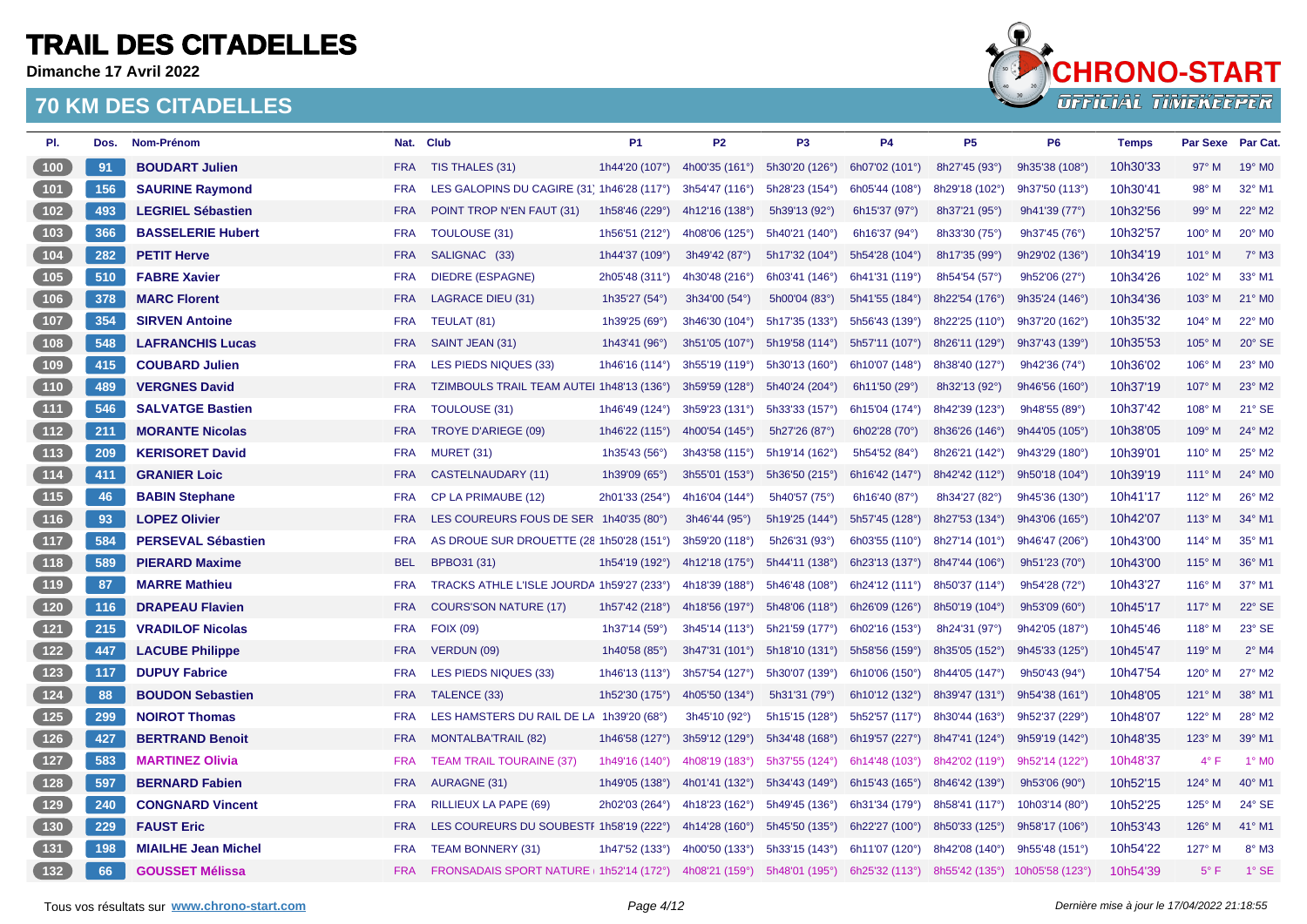**Dimanche 17 Avril 2022**



| PI.     | Dos. | Nom-Prénom                 |            | Nat. Club                                  | <b>P1</b>      | P <sub>2</sub> | P <sub>3</sub> | P4                      | P <sub>5</sub> | P <sub>6</sub>  | <b>Temps</b> | <b>Par Sexe</b> | Par Cat.       |
|---------|------|----------------------------|------------|--------------------------------------------|----------------|----------------|----------------|-------------------------|----------------|-----------------|--------------|-----------------|----------------|
| (100)   | 91   | <b>BOUDART Julien</b>      | <b>FRA</b> | TIS THALES (31)                            | 1h44'20 (107°) | 4h00'35 (161°) | 5h30'20 (126°) | 6h07'02 (101°)          | 8h27'45 (93°)  | 9h35'38 (108°)  | 10h30'33     | 97° M           | 19° MO         |
| (101)   | 156  | <b>SAURINE Raymond</b>     | <b>FRA</b> | LES GALOPINS DU CAGIRE (31) 1h46'28 (117°) |                | 3h54'47 (116°) | 5h28'23 (154°) | 6h05'44 (108°)          | 8h29'18 (102°) | 9h37'50 (113°)  | 10h30'41     | 98° M           | 32° M1         |
| $102$   | 493  | <b>LEGRIEL Sébastien</b>   | <b>FRA</b> | POINT TROP N'EN FAUT (31)                  | 1h58'46 (229°) | 4h12'16 (138°) | 5h39'13 (92°)  | 6h15'37 (97°)           | 8h37'21 (95°)  | 9h41'39 (77°)   | 10h32'56     | 99° M           | 22° M2         |
| (103)   | 366  | <b>BASSELERIE Hubert</b>   | <b>FRA</b> | <b>TOULOUSE (31)</b>                       | 1h56'51 (212°) | 4h08'06 (125°) | 5h40'21 (140°) | 6h16'37 (94°)           | 8h33'30 (75°)  | 9h37'45 (76°)   | 10h32'57     | 100° M          | 20° MO         |
| 104     | 282  | <b>PETIT Herve</b>         | <b>FRA</b> | SALIGNAC (33)                              | 1h44'37 (109°) | 3h49'42 (87°)  | 5h17'32 (104°) | 5h54'28 (104°)          | 8h17'35 (99°)  | 9h29'02 (136°)  | 10h34'19     | 101° M          | $7^\circ$ M3   |
| (105)   | 510  | <b>FABRE Xavier</b>        | <b>FRA</b> | <b>DIEDRE (ESPAGNE)</b>                    | 2h05'48 (311°) | 4h30'48 (216°) | 6h03'41 (146°) | 6h41'31 (119°)          | 8h54'54 (57°)  | 9h52'06 (27°)   | 10h34'26     | $102^\circ$ M   | 33° M1         |
| (106)   | 378  | <b>MARC Florent</b>        | <b>FRA</b> | <b>LAGRACE DIEU (31)</b>                   | 1h35'27 (54°)  | 3h34'00 (54°)  | 5h00'04 (83°)  | 5h41'55 (184°)          | 8h22'54 (176°) | 9h35'24 (146°)  | 10h34'36     | $103^\circ$ M   | 21° MO         |
| (107)   | 354  | <b>SIRVEN Antoine</b>      | <b>FRA</b> | TEULAT (81)                                | 1h39'25 (69°)  | 3h46'30 (104°) | 5h17'35 (133°) | 5h56'43 (139°)          | 8h22'25 (110°) | 9h37'20 (162°)  | 10h35'32     | $104^\circ$ M   | 22° MO         |
| (108)   | 548  | <b>LAFRANCHIS Lucas</b>    | <b>FRA</b> | SAINT JEAN (31)                            | 1h43'41 (96°)  | 3h51'05 (107°) | 5h19'58 (114°) | 5h57'11 (107°)          | 8h26'11 (129°) | 9h37'43 (139°)  | 10h35'53     | 105° M          | $20^\circ$ SE  |
| (109)   | 415  | <b>COUBARD Julien</b>      | <b>FRA</b> | LES PIEDS NIQUES (33)                      | 1h46'16 (114°) | 3h55'19 (119°) | 5h30'13 (160°) | 6h10'07 (148°)          | 8h38'40 (127°) | 9h42'36 (74°)   | 10h36'02     | 106° M          | 23° MO         |
| (110)   | 489  | <b>VERGNES David</b>       | <b>FRA</b> | TZIMBOULS TRAIL TEAM AUTEI 1h48'13 (136°)  |                | 3h59'59 (128°) | 5h40'24 (204°) | 6h11'50 (29°)           | 8h32'13 (92°)  | 9h46'56 (160°)  | 10h37'19     | $107^\circ$ M   | 23° M2         |
| (111)   | 546  | <b>SALVATGE Bastien</b>    | <b>FRA</b> | TOULOUSE (31)                              | 1h46'49 (124°) | 3h59'23 (131°) | 5h33'33 (157°) | 6h15'04 (174°)          | 8h42'39 (123°) | 9h48'55 (89°)   | 10h37'42     | 108° M          | $21^\circ$ SE  |
| (112)   | 211  | <b>MORANTE Nicolas</b>     | <b>FRA</b> | TROYE D'ARIEGE (09)                        | 1h46'22 (115°) | 4h00'54 (145°) | 5h27'26 (87°)  | 6h02'28 $(70^{\circ})$  | 8h36'26 (146°) | 9h44'05 (105°)  | 10h38'05     | 109° M          | 24° M2         |
| (113)   | 209  | <b>KERISORET David</b>     | <b>FRA</b> | MURET (31)                                 | 1h35'43 (56°)  | 3h43'58 (115°) | 5h19'14 (162°) | 5h54'52 (84°)           | 8h26'21 (142°) | 9h43'29 (180°)  | 10h39'01     | $110^{\circ}$ M | 25° M2         |
| (114)   | 411  | <b>GRANIER Loic</b>        | <b>FRA</b> | <b>CASTELNAUDARY (11)</b>                  | 1h39'09 (65°)  | 3h55'01 (153°) | 5h36'50 (215°) | 6h16'42 (147°)          | 8h42'42 (112°) | 9h50'18 (104°)  | 10h39'19     | $111^{\circ}$ M | 24° MO         |
| (115)   | 46   | <b>BABIN Stephane</b>      | <b>FRA</b> | CP LA PRIMAUBE (12)                        | 2h01'33 (254°) | 4h16'04 (144°) | 5h40'57 (75°)  | 6h16'40 (87°)           | 8h34'27 (82°)  | 9h45'36 (130°)  | 10h41'17     | $112^{\circ}$ M | 26° M2         |
| (116)   | 93   | <b>LOPEZ Olivier</b>       | <b>FRA</b> | LES COUREURS FOUS DE SER 1h40'35 (80°)     |                | 3h46'44 (95°)  | 5h19'25 (144°) | 5h57'45 (128°)          | 8h27'53 (134°) | 9h43'06 (165°)  | 10h42'07     | $113^\circ$ M   | 34° M1         |
| (117)   | 584  | <b>PERSEVAL Sébastien</b>  | <b>FRA</b> | AS DROUE SUR DROUETTE (28 1h50'28 (151°)   |                | 3h59'20 (118°) | 5h26'31 (93°)  | 6h03'55 $(110^{\circ})$ | 8h27'14 (101°) | 9h46'47 (206°)  | 10h43'00     | $114^{\circ}$ M | 35° M1         |
| (118)   | 589  | <b>PIERARD Maxime</b>      | <b>BEL</b> | <b>BPBO31 (31)</b>                         | 1h54'19 (192°) | 4h12'18 (175°) | 5h44'11 (138°) | 6h23'13 (137°)          | 8h47'44 (106°) | 9h51'23 (70°)   | 10h43'00     | $115^\circ$ M   | 36° M1         |
| (119)   | 87   | <b>MARRE Mathieu</b>       | <b>FRA</b> | TRACKS ATHLE L'ISLE JOURDA 1h59'27 (233°)  |                | 4h18'39 (188°) | 5h46'48 (108°) | 6h24'12 (111°)          | 8h50'37 (114°) | 9h54'28 (72°)   | 10h43'27     | $116^\circ$ M   | 37° M1         |
| (120)   | 116  | <b>DRAPEAU Flavien</b>     | <b>FRA</b> | <b>COURS'SON NATURE (17)</b>               | 1h57'42 (218°) | 4h18'56 (197°) | 5h48'06 (118°) | 6h26'09 (126°)          | 8h50'19 (104°) | 9h53'09 (60°)   | 10h45'17     | $117^\circ$ M   | 22° SE         |
| (121)   | 215  | <b>VRADILOF Nicolas</b>    | <b>FRA</b> | <b>FOIX (09)</b>                           | 1h37'14 (59°)  | 3h45'14 (113°) | 5h21'59 (177°) | 6h02'16 (153°)          | 8h24'31 (97°)  | 9h42'05 (187°)  | 10h45'46     | $118^\circ$ M   | 23° SE         |
| (122)   | 447  | <b>LACUBE Philippe</b>     | <b>FRA</b> | VERDUN (09)                                | 1h40'58 (85°)  | 3h47'31 (101°) | 5h18'10 (131°) | 5h58'56 (159°)          | 8h35'05 (152°) | 9h45'33 (125°)  | 10h45'47     | $119°$ M        | $2^{\circ}$ M4 |
| (123)   | 117  | <b>DUPUY Fabrice</b>       | <b>FRA</b> | LES PIEDS NIQUES (33)                      | 1h46'13 (113°) | 3h57'54 (127°) | 5h30'07 (139°) | 6h10'06 (150°)          | 8h44'05 (147°) | 9h50'43 (94°)   | 10h47'54     | $120^\circ$ M   | 27° M2         |
| (124)   | 88   | <b>BOUDON Sebastien</b>    | <b>FRA</b> | TALENCE (33)                               | 1h52'30 (175°) | 4h05'50 (134°) | 5h31'31 (79°)  | 6h10'12 (132°)          | 8h39'47 (131°) | 9h54'38 (161°)  | 10h48'05     | $121^\circ$ M   | 38° M1         |
| (125)   | 299  | <b>NOIROT Thomas</b>       | <b>FRA</b> | LES HAMSTERS DU RAIL DE LA 1h39'20 (68°)   |                | 3h45'10 (92°)  | 5h15'15 (128°) | 5h52'57 (117°)          | 8h30'44 (163°) | 9h52'37 (229°)  | 10h48'07     | 122° M          | 28° M2         |
| $(126)$ | 427  | <b>BERTRAND Benoit</b>     | <b>FRA</b> | <b>MONTALBA'TRAIL (82)</b>                 | 1h46'58 (127°) | 3h59'12 (129°) | 5h34'48 (168°) | 6h19'57 (227°)          | 8h47'41 (124°) | 9h59'19 (142°)  | 10h48'35     | $123^\circ$ M   | 39° M1         |
| (127)   | 583  | <b>MARTINEZ Olivia</b>     | <b>FRA</b> | <b>TEAM TRAIL TOURAINE (37)</b>            | 1h49'16 (140°) | 4h08'19 (183°) | 5h37'55 (124°) | 6h14'48 (103°)          | 8h42'02 (119°) | 9h52'14 (122°)  | 10h48'37     | $4^{\circ}$ F   | $1^\circ$ MO   |
| (128)   | 597  | <b>BERNARD Fabien</b>      | <b>FRA</b> | <b>AURAGNE (31)</b>                        | 1h49'05 (138°) | 4h01'41 (132°) | 5h34'43 (149°) | 6h15'43 (165°)          | 8h46'42 (139°) | 9h53'06 (90°)   | 10h52'15     | 124° M          | 40° M1         |
| 129     | 240  | <b>CONGNARD Vincent</b>    | <b>FRA</b> | <b>RILLIEUX LA PAPE (69)</b>               | 2h02'03 (264°) | 4h18'23 (162°) | 5h49'45 (136°) | 6h31'34 (179°)          | 8h58'41 (117°) | 10h03'14 (80°)  | 10h52'25     | $125^\circ$ M   | 24° SE         |
| (130)   | 229  | <b>FAUST Eric</b>          | <b>FRA</b> | LES COUREURS DU SOUBESTF 1h58'19 (222°)    |                | 4h14'28 (160°) | 5h45'50 (135°) | 6h22'27 (100°)          | 8h50'33 (125°) | 9h58'17 (106°)  | 10h53'43     | 126° M          | 41° M1         |
| (131)   | 198  | <b>MIAILHE Jean Michel</b> | <b>FRA</b> | <b>TEAM BONNERY (31)</b>                   | 1h47'52 (133°) | 4h00'50 (133°) | 5h33'15 (143°) | 6h11'07 (120°)          | 8h42'08 (140°) | 9h55'48 (151°)  | 10h54'22     | 127° M          | $8^\circ$ M3   |
| (132)   | 66   | <b>GOUSSET Mélissa</b>     | <b>FRA</b> | FRONSADAIS SPORT NATURE + 1h52'14 (172°)   |                | 4h08'21 (159°) | 5h48'01 (195°) | 6h25'32 (113°)          | 8h55'42 (135°) | 10h05'58 (123°) | 10h54'39     | $5^{\circ}$ F   | $1^\circ$ SE   |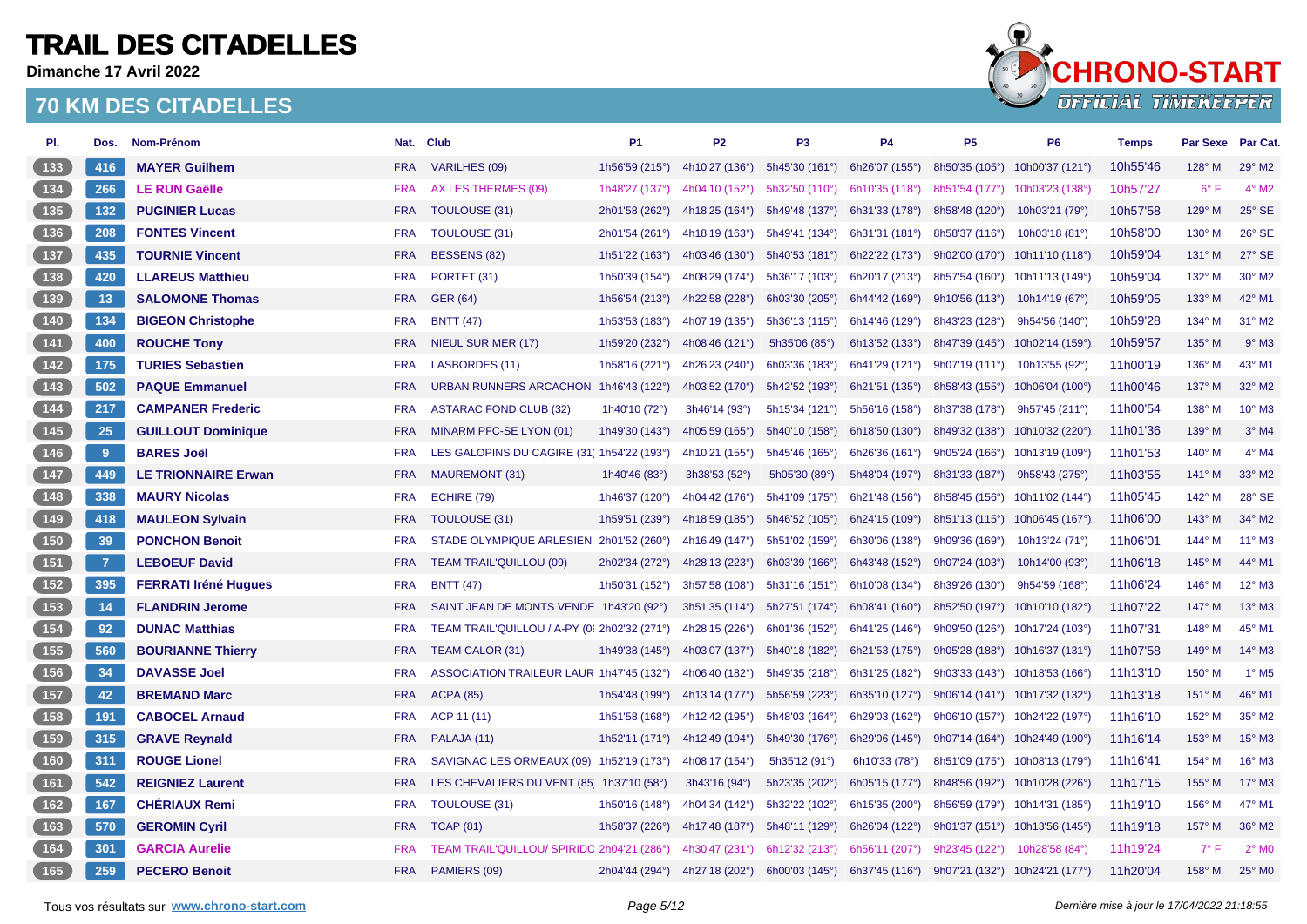**Dimanche 17 Avril 2022**



| PI.                                        | Dos.           | Nom-Prénom                  |            | Nat. Club                                    | <b>P1</b>      | <b>P2</b>      | P <sub>3</sub>                | <b>P4</b>                   | <b>P5</b>                      | <b>P6</b>                      | <b>Temps</b> | <b>Par Sexe</b> | Par Cat.                    |
|--------------------------------------------|----------------|-----------------------------|------------|----------------------------------------------|----------------|----------------|-------------------------------|-----------------------------|--------------------------------|--------------------------------|--------------|-----------------|-----------------------------|
| 133                                        | 416            | <b>MAYER Guilhem</b>        | <b>FRA</b> | VARILHES (09)                                | 1h56'59 (215°) |                | 4h10'27 (136°) 5h45'30 (161°) | 6h26'07 (155°)              | 8h50'35 (105°) 10h00'37 (121°) |                                | 10h55'46     | $128^\circ$ M   | 29° M2                      |
| $134$                                      | 266            | <b>LE RUN Gaëlle</b>        | <b>FRA</b> | AX LES THERMES (09)                          | 1h48'27 (137°) | 4h04'10 (152°) | 5h32'50 (110°)                | 6h10'35 (118°)              | 8h51'54 (177°)                 | 10h03'23 (138°)                | 10h57'27     | $6^{\circ}$ F   | $4^\circ$ M2                |
| (135)                                      | 132            | <b>PUGINIER Lucas</b>       | <b>FRA</b> | TOULOUSE (31)                                | 2h01'58 (262°) | 4h18'25 (164°) | 5h49'48 (137°)                | 6h31'33 (178°)              | 8h58'48 (120°)                 | 10h03'21 (79°)                 | 10h57'58     | $129^\circ$ M   | 25° SE                      |
| $136$                                      | 208            | <b>FONTES Vincent</b>       | <b>FRA</b> | TOULOUSE (31)                                | 2h01'54 (261°) | 4h18'19 (163°) | 5h49'41 (134°)                | 6h31'31 (181°)              | 8h58'37 (116°)                 | 10h03'18 (81°)                 | 10h58'00     | $130^\circ$ M   | 26° SE                      |
| (137)                                      | 435            | <b>TOURNIE Vincent</b>      | <b>FRA</b> | <b>BESSENS (82)</b>                          | 1h51'22 (163°) | 4h03'46 (130°) | 5h40'53 (181°)                | 6h22'22 (173°)              | 9h02'00 (170°) 10h11'10 (118°) |                                | 10h59'04     | $131^\circ$ M   | 27° SE                      |
| $\begin{array}{c} \boxed{138} \end{array}$ | 420            | <b>LLAREUS Matthieu</b>     | <b>FRA</b> | PORTET (31)                                  | 1h50'39 (154°) | 4h08'29 (174°) | 5h36'17 (103°)                | 6h20'17 (213°)              | 8h57'54 (160°) 10h11'13 (149°) |                                | 10h59'04     | $132^\circ$ M   | 30° M2                      |
| (139)                                      | 13             | <b>SALOMONE Thomas</b>      | <b>FRA</b> | GER (64)                                     | 1h56'54 (213°) | 4h22'58 (228°) | 6h03'30 $(205^{\circ})$       | 6h44'42 (169°)              | 9h10'56 (113°)                 | 10h14'19 (67°)                 | 10h59'05     | $133^\circ$ M   | 42° M1                      |
| $\sqrt{140}$                               | 134            | <b>BIGEON Christophe</b>    | <b>FRA</b> | <b>BNTT (47)</b>                             | 1h53'53 (183°) | 4h07'19 (135°) | 5h36'13 (115°)                | 6h14'46 (129°)              | 8h43'23 (128°)                 | 9h54'56 (140°)                 | 10h59'28     | 134° M          | 31° M2                      |
| (141)                                      | 400            | <b>ROUCHE Tony</b>          | <b>FRA</b> | NIEUL SUR MER (17)                           | 1h59'20 (232°) | 4h08'46 (121°) | 5h35'06 (85°)                 | 6h13'52 (133°)              | 8h47'39 (145°) 10h02'14 (159°) |                                | 10h59'57     | $135^\circ$ M   | $9°$ M3                     |
| (142)                                      | 175            | <b>TURIES Sebastien</b>     | <b>FRA</b> | LASBORDES (11)                               | 1h58'16 (221°) | 4h26'23 (240°) | 6h03'36 (183°)                | 6h41'29 (121°)              | 9h07'19 (111°) 10h13'55 (92°)  |                                | 11h00'19     | $136^\circ$ M   | 43° M1                      |
| (143)                                      | 502            | <b>PAQUE Emmanuel</b>       | <b>FRA</b> | URBAN RUNNERS ARCACHON 1h46'43 (122°)        |                | 4h03'52 (170°) | 5h42'52 (193°)                | 6h21'51 (135°)              | 8h58'43 (155°) 10h06'04 (100°) |                                | 11h00'46     | 137° M          | 32° M2                      |
| $\begin{array}{c} \n144\n\end{array}$      | 217            | <b>CAMPANER Frederic</b>    | <b>FRA</b> | <b>ASTARAC FOND CLUB (32)</b>                | 1h40'10 (72°)  | 3h46'14 (93°)  | 5h15'34 (121°)                | 5h56'16 (158°)              | 8h37'38 (178°)                 | 9h57'45 (211°)                 | 11h00'54     | 138° M          | 10° M3                      |
| (145)                                      | 25             | <b>GUILLOUT Dominique</b>   | <b>FRA</b> | MINARM PFC-SE LYON (01)                      | 1h49'30 (143°) | 4h05'59 (165°) | 5h40'10 (158°)                | 6h18'50 (130°)              | 8h49'32 (138°)                 | 10h10'32 (220°)                | 11h01'36     | 139° M          | $3°$ M4                     |
| (146)                                      | 9              | <b>BARES Joël</b>           | <b>FRA</b> | LES GALOPINS DU CAGIRE (31) 1h54'22 (193°)   |                | 4h10'21 (155°) | 5h45'46 (165°)                | 6h26'36 $(161°)$            | 9h05'24 (166°) 10h13'19 (109°) |                                | 11h01'53     | $140^\circ$ M   | $4^\circ$ M4                |
| (147)                                      | 449            | <b>LE TRIONNAIRE Erwan</b>  | <b>FRA</b> | MAUREMONT (31)                               | 1h40'46 (83°)  | 3h38'53 (52°)  | 5h05'30 (89°)                 | 5h48'04 (197°)              | 8h31'33 (187°)                 | 9h58'43 (275°)                 | 11h03'55     | $141^\circ$ M   | 33° M2                      |
| $148$                                      | 338            | <b>MAURY Nicolas</b>        | <b>FRA</b> | ECHIRE (79)                                  | 1h46'37 (120°) | 4h04'42 (176°) | 5h41'09 (175°)                | 6h21'48 (156°)              | 8h58'45 (156°) 10h11'02 (144°) |                                | 11h05'45     | 142° M          | 28° SE                      |
| (149)                                      | 418            | <b>MAULEON Sylvain</b>      | <b>FRA</b> | TOULOUSE (31)                                | 1h59'51 (239°) | 4h18'59 (185°) | 5h46'52 (105°)                | 6h24'15 (109°)              | 8h51'13 (115°) 10h06'45 (167°) |                                | 11h06'00     | $143^\circ$ M   | 34° M2                      |
| 150                                        | 39             | <b>PONCHON Benoit</b>       | <b>FRA</b> | STADE OLYMPIQUE ARLESIEN 2h01'52 (260°)      |                | 4h16'49 (147°) | 5h51'02 (159°)                | 6h30'06 (138°)              | 9h09'36 (169°)                 | 10h13'24 (71°)                 | 11h06'01     | $144^\circ$ M   | $11^{\circ}$ M3             |
| (151)                                      | $\overline{7}$ | <b>LEBOEUF David</b>        | <b>FRA</b> | <b>TEAM TRAIL'QUILLOU (09)</b>               | 2h02'34 (272°) | 4h28'13 (223°) | 6h03'39 (166°)                | 6h43'48 (152°)              | 9h07'24 (103°)                 | 10h14'00 (93°)                 | 11h06'18     | $145^\circ$ M   | 44° M1                      |
| 152                                        | 395            | <b>FERRATI Iréné Hugues</b> | <b>FRA</b> | <b>BNTT (47)</b>                             | 1h50'31 (152°) | 3h57'58 (108°) | 5h31'16 (151°)                | 6h10'08 (134°)              | 8h39'26 (130°)                 | 9h54'59 (168°)                 | 11h06'24     | 146° M          | 12° M3                      |
| (153)                                      | 14             | <b>FLANDRIN Jerome</b>      | <b>FRA</b> | SAINT JEAN DE MONTS VENDE 1h43'20 (92°)      |                | 3h51'35 (114°) | 5h27'51 (174°)                | $6h08'41$ (160 $^{\circ}$ ) | 8h52'50 (197°) 10h10'10 (182°) |                                | 11h07'22     | 147° M          | 13° M3                      |
| $154$                                      | 92             | <b>DUNAC Matthias</b>       | <b>FRA</b> | TEAM TRAIL'QUILLOU / A-PY (0! 2h02'32 (271°) |                | 4h28'15 (226°) | 6h01'36 (152°)                | 6h41'25 (146°)              | 9h09'50 (126°)                 | 10h17'24 (103°)                | 11h07'31     | $148^\circ$ M   | 45° M1                      |
| (155)                                      | 560            | <b>BOURIANNE Thierry</b>    | <b>FRA</b> | TEAM CALOR (31)                              | 1h49'38 (145°) | 4h03'07 (137°) | 5h40'18 (182°)                | 6h21'53 (175°)              | 9h05'28 (188°) 10h16'37 (131°) |                                | 11h07'58     | $149^\circ$ M   | 14° M3                      |
| (156)                                      | 34             | <b>DAVASSE Joel</b>         | <b>FRA</b> | ASSOCIATION TRAILEUR LAUR 1h47'45 (132°)     |                | 4h06'40 (182°) | 5h49'35 (218°)                | 6h31'25 (182°)              | 9h03'33 (143°) 10h18'53 (166°) |                                | 11h13'10     | 150° M          | $1^\circ$ M <sub>5</sub>    |
| (157)                                      | 42             | <b>BREMAND Marc</b>         | <b>FRA</b> | <b>ACPA (85)</b>                             | 1h54'48 (199°) | 4h13'14 (177°) | 5h56'59 (223°)                | 6h35'10 (127°)              | 9h06'14 (141°) 10h17'32 (132°) |                                | 11h13'18     | $151^\circ$ M   | 46° M1                      |
| 158                                        | 191            | <b>CABOCEL Arnaud</b>       | <b>FRA</b> | ACP 11 (11)                                  | 1h51'58 (168°) | 4h12'42 (195°) | 5h48'03 (164°)                | 6h29'03 (162°)              | 9h06'10 (157°) 10h24'22 (197°) |                                | 11h16'10     | 152° M          | 35° M2                      |
| (159)                                      | 315            | <b>GRAVE Reynald</b>        | <b>FRA</b> | PALAJA (11)                                  | 1h52'11 (171°) | 4h12'49 (194°) | 5h49'30 (176°)                | 6h29'06 (145°)              | 9h07'14 (164°) 10h24'49 (190°) |                                | 11h16'14     | $153^\circ$ M   | 15° M3                      |
| (160)                                      | 311            | <b>ROUGE Lionel</b>         | <b>FRA</b> | SAVIGNAC LES ORMEAUX (09) 1h52'19 (173°)     |                | 4h08'17 (154°) | 5h35'12 (91°)                 | 6h10'33 (78°)               |                                | 8h51'09 (175°) 10h08'13 (179°) | 11h16'41     | 154° M          | 16° M3                      |
| (161)                                      | 542            | <b>REIGNIEZ Laurent</b>     | <b>FRA</b> | LES CHEVALIERS DU VENT (85 1h37'10 (58°)     |                | 3h43'16 (94°)  | 5h23'35 (202°)                | 6h05'15 (177°)              | 8h48'56 (192°) 10h10'28 (226°) |                                | 11h17'15     | $155^\circ$ M   | $17^\circ$ M3               |
| 162                                        | 167            | <b>CHÉRIAUX Remi</b>        | <b>FRA</b> | TOULOUSE (31)                                | 1h50'16 (148°) | 4h04'34 (142°) | 5h32'22 (102°)                | 6h15'35 (200°)              | 8h56'59 (179°) 10h14'31 (185°) |                                | 11h19'10     | 156° M          | 47° M1                      |
| (163)                                      | 570            | <b>GEROMIN Cyril</b>        | <b>FRA</b> | <b>TCAP (81)</b>                             | 1h58'37 (226°) | 4h17'48 (187°) | 5h48'11 (129°)                | 6h26'04 (122°)              | 9h01'37 (151°) 10h13'56 (145°) |                                | 11h19'18     | 157° M          | 36° M2                      |
| 164                                        | 301            | <b>GARCIA Aurelie</b>       | <b>FRA</b> | TEAM TRAIL'QUILLOU/ SPIRIDO 2h04'21 (286°)   |                | 4h30'47 (231°) | 6h12'32 (213°)                | 6h56'11 (207°)              | 9h23'45 (122°)                 | 10h28'58 (84°)                 | 11h19'24     | $7^{\circ}$ F   | $2^{\circ}$ M <sub>0</sub>  |
| (165)                                      | 259            | <b>PECERO Benoit</b>        | <b>FRA</b> | PAMIERS (09)                                 | 2h04'44 (294°) | 4h27'18 (202°) | 6h00'03 (145°)                | 6h37'45 (116°)              | 9h07'21 (132°) 10h24'21 (177°) |                                | 11h20'04     | $158^\circ$ M   | $25^{\circ}$ M <sub>0</sub> |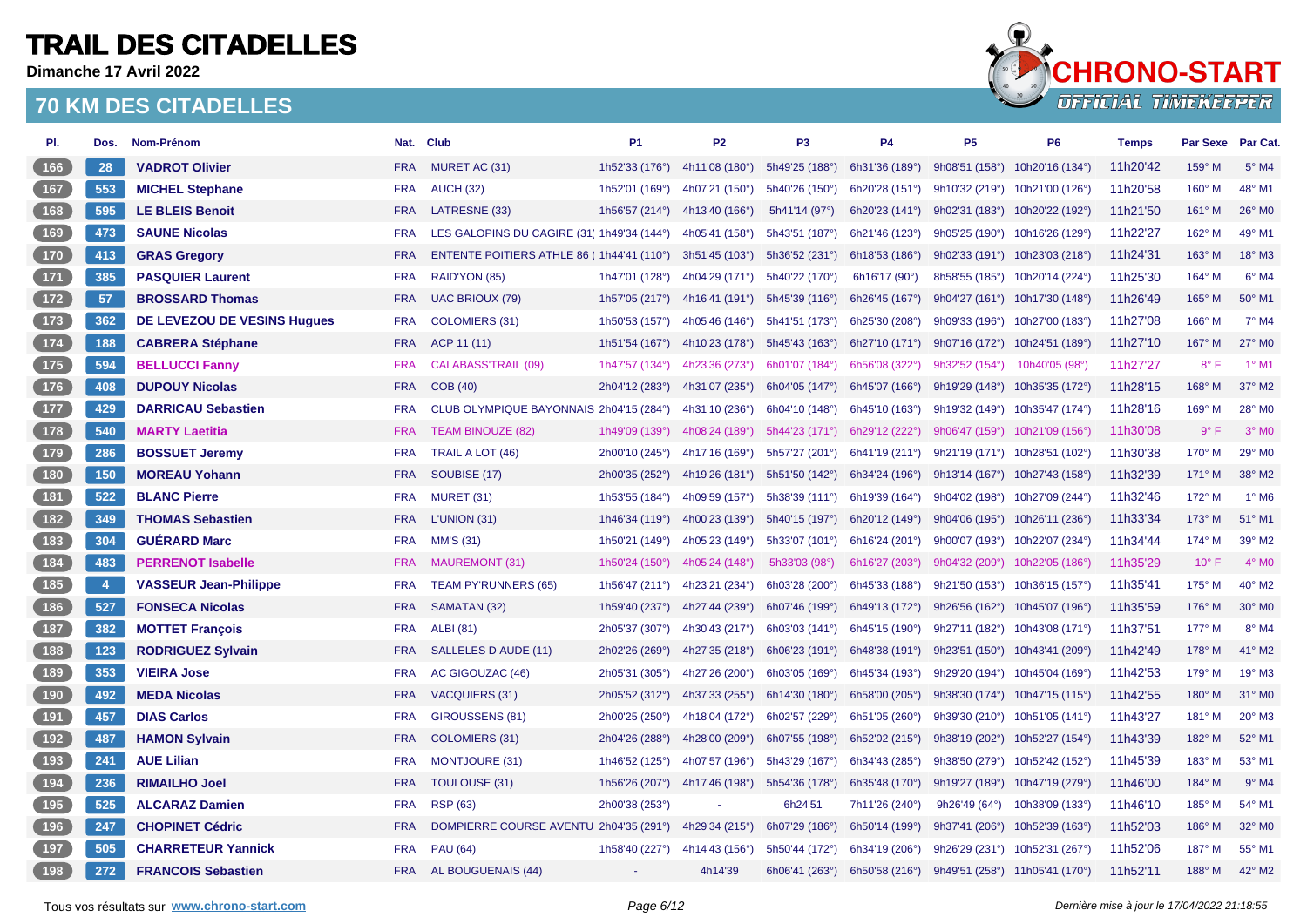**Dimanche 17 Avril 2022**



| PI.                                        | Dos.           | Nom-Prénom                         | Nat.       | <b>Club</b>                                | <b>P1</b>      | <b>P2</b>      | P <sub>3</sub> | <b>P4</b>               | <b>P5</b>                      | <b>P6</b>                      | <b>Temps</b> | Par Sexe       | Par Cat.       |
|--------------------------------------------|----------------|------------------------------------|------------|--------------------------------------------|----------------|----------------|----------------|-------------------------|--------------------------------|--------------------------------|--------------|----------------|----------------|
| 166                                        | 28             | <b>VADROT Olivier</b>              | <b>FRA</b> | MURET AC (31)                              | 1h52'33 (176°) | 4h11'08 (180°) | 5h49'25 (188°) | 6h31'36 (189°)          |                                | 9h08'51 (158°) 10h20'16 (134°) | 11h20'42     | $159^\circ$ M  | $5^\circ$ M4   |
| 167                                        | 553            | <b>MICHEL Stephane</b>             | <b>FRA</b> | <b>AUCH (32)</b>                           | 1h52'01 (169°) | 4h07'21 (150°) | 5h40'26 (150°) | 6h20'28 (151°)          | 9h10'32 (219°)                 | 10h21'00 (126°)                | 11h20'58     | $160^\circ$ M  | 48° M1         |
| 168                                        | 595            | <b>LE BLEIS Benoit</b>             | <b>FRA</b> | LATRESNE (33)                              | 1h56'57 (214°) | 4h13'40 (166°) | 5h41'14 (97°)  | 6h20'23 (141°)          | 9h02'31 (183°)                 | 10h20'22 (192°)                | 11h21'50     | 161° M         | 26° MO         |
| 169                                        | 473            | <b>SAUNE Nicolas</b>               | <b>FRA</b> | LES GALOPINS DU CAGIRE (31) 1h49'34 (144°) |                | 4h05'41 (158°) | 5h43'51 (187°) | 6h21'46 (123°)          | 9h05'25 (190°)                 | 10h16'26 (129°)                | 11h22'27     | 162° M         | 49° M1         |
| $170$                                      | 413            | <b>GRAS Gregory</b>                | <b>FRA</b> | ENTENTE POITIERS ATHLE 86 (1h44'41 (110°)  |                | 3h51'45 (103°) | 5h36'52 (231°) | 6h18'53 (186°)          |                                | 9h02'33 (191°) 10h23'03 (218°) | 11h24'31     | $163^\circ$ M  | 18° M3         |
| $171$                                      | 385            | <b>PASQUIER Laurent</b>            | <b>FRA</b> | RAID'YON (85)                              | 1h47'01 (128°) | 4h04'29 (171°) | 5h40'22 (170°) | 6h16'17 (90°)           |                                | 8h58'55 (185°) 10h20'14 (224°) | 11h25'30     | 164° M         | $6^\circ$ M4   |
| 172                                        | 57             | <b>BROSSARD Thomas</b>             | <b>FRA</b> | <b>UAC BRIOUX (79)</b>                     | 1h57'05 (217°) | 4h16'41 (191°) | 5h45'39 (116°) | 6h26'45 (167°)          |                                | 9h04'27 (161°) 10h17'30 (148°) | 11h26'49     | $165^\circ$ M  | 50° M1         |
| $173$                                      | 362            | <b>DE LEVEZOU DE VESINS Hugues</b> | <b>FRA</b> | <b>COLOMIERS (31)</b>                      | 1h50'53 (157°) | 4h05'46 (146°) | 5h41'51 (173°) | 6h25'30 (208°)          |                                | 9h09'33 (196°) 10h27'00 (183°) | 11h27'08     | 166° M         | $7^\circ$ M4   |
| $\begin{array}{c} \boxed{174} \end{array}$ | 188            | <b>CABRERA Stéphane</b>            | <b>FRA</b> | ACP 11 (11)                                | 1h51'54 (167°) | 4h10'23 (178°) | 5h45'43 (163°) | 6h27'10 (171°)          | 9h07'16 (172°)                 | 10h24'51 (189°)                | 11h27'10     | $167^\circ$ M  | 27° MO         |
| $175$                                      | 594            | <b>BELLUCCI Fanny</b>              | <b>FRA</b> | <b>CALABASS'TRAIL (09)</b>                 | 1h47'57 (134°) | 4h23'36 (273°) | 6h01'07 (184°) | 6h56'08 (322°)          | 9h32'52 (154°)                 | 10h40'05 (98°)                 | 11h27'27     | $8^{\circ}$ F  | $1^{\circ}$ M1 |
| (176)                                      | 408            | <b>DUPOUY Nicolas</b>              | <b>FRA</b> | <b>COB (40)</b>                            | 2h04'12 (283°) | 4h31'07 (235°) | 6h04'05 (147°) | 6h45'07 (166°)          | 9h19'29 (148°) 10h35'35 (172°) |                                | 11h28'15     | 168° M         | 37° M2         |
| $\overline{177}$                           | 429            | <b>DARRICAU Sebastien</b>          | <b>FRA</b> | CLUB OLYMPIQUE BAYONNAIS 2h04'15 (284°)    |                | 4h31'10 (236°) | 6h04'10 (148°) | 6h45'10 (163°)          |                                | 9h19'32 (149°) 10h35'47 (174°) | 11h28'16     | $169^\circ$ M  | 28° MO         |
| 178                                        | 540            | <b>MARTY Laetitia</b>              | <b>FRA</b> | <b>TEAM BINOUZE (82)</b>                   | 1h49'09 (139°) | 4h08'24 (189°) | 5h44'23 (171°) | 6h29'12 (222°)          | 9h06'47 (159°)                 | 10h21'09 (156°)                | 11h30'08     | $9^{\circ}$ F  | $3°$ MO        |
| 179                                        | 286            | <b>BOSSUET Jeremy</b>              | <b>FRA</b> | TRAIL A LOT (46)                           | 2h00'10 (245°) | 4h17'16 (169°) | 5h57'27 (201°) | 6h41'19 (211°)          | 9h21'19 (171°)                 | 10h28'51 (102°)                | 11h30'38     | $170^\circ$ M  | 29° M0         |
| (180)                                      | 150            | <b>MOREAU Yohann</b>               | <b>FRA</b> | SOUBISE (17)                               | 2h00'35 (252°) | 4h19'26 (181°) | 5h51'50 (142°) | 6h34'24 (196°)          | 9h13'14 (167°) 10h27'43 (158°) |                                | 11h32'39     | $171^\circ$ M  | 38° M2         |
| $181$                                      | 522            | <b>BLANC Pierre</b>                | <b>FRA</b> | MURET (31)                                 | 1h53'55 (184°) | 4h09'59 (157°) | 5h38'39 (111°) | 6h19'39 (164°)          | 9h04'02 (198°)                 | 10h27'09 (244°)                | 11h32'46     | 172° M         | $1^\circ$ M6   |
| $\begin{array}{c} \boxed{182} \end{array}$ | 349            | <b>THOMAS Sebastien</b>            | <b>FRA</b> | L'UNION (31)                               | 1h46'34 (119°) | 4h00'23 (139°) | 5h40'15 (197°) | 6h20'12 (149°)          | 9h04'06 (195°) 10h26'11 (236°) |                                | 11h33'34     | $173^\circ$ M  | 51° M1         |
| $183$                                      | 304            | <b>GUÉRARD Marc</b>                | <b>FRA</b> | <b>MM'S (31)</b>                           | 1h50'21 (149°) | 4h05'23 (149°) | 5h33'07 (101°) | 6h16'24 (201°)          |                                | 9h00'07 (193°) 10h22'07 (234°) | 11h34'44     | $174^\circ$ M  | 39° M2         |
| $184$                                      | 483            | <b>PERRENOT Isabelle</b>           | <b>FRA</b> | <b>MAUREMONT (31)</b>                      | 1h50'24 (150°) | 4h05'24 (148°) | 5h33'03 (98°   | $6h16'27$ (203°)        | 9h04'32(209°)                  | 10h22'05 (186°)                | 11h35'29     | $10^{\circ}$ F | $4^\circ$ MO   |
| $185$                                      | $\overline{4}$ | <b>VASSEUR Jean-Philippe</b>       | <b>FRA</b> | <b>TEAM PY'RUNNERS (65)</b>                | 1h56'47 (211°) | 4h23'21 (234°) | 6h03'28 (200°) | 6h45'33 (188°)          |                                | 9h21'50 (153°) 10h36'15 (157°) | 11h35'41     | 175° M         | 40° M2         |
| 186                                        | 527            | <b>FONSECA Nicolas</b>             | <b>FRA</b> | SAMATAN (32)                               | 1h59'40 (237°) | 4h27'44 (239°) | 6h07'46 (199°) | 6h49'13 (172°)          | 9h26'56 (162°) 10h45'07 (196°) |                                | 11h35'59     | $176^\circ$ M  | 30° MO         |
| $\boxed{187}$                              | 382            | <b>MOTTET François</b>             | <b>FRA</b> | <b>ALBI</b> (81)                           | 2h05'37 (307°) | 4h30'43 (217°) | 6h03'03 (141°) | 6h45'15 (190°)          |                                | 9h27'11 (182°) 10h43'08 (171°) | 11h37'51     | $177^\circ$ M  | $8^\circ$ M4   |
| 188                                        | 123            | <b>RODRIGUEZ Sylvain</b>           | <b>FRA</b> | SALLELES D AUDE (11)                       | 2h02'26 (269°) | 4h27'35 (218°) | 6h06'23 (191°) | 6h48'38 (191°)          |                                | 9h23'51 (150°) 10h43'41 (209°) | 11h42'49     | 178° M         | 41° M2         |
| 189                                        | 353            | <b>VIEIRA Jose</b>                 | <b>FRA</b> | AC GIGOUZAC (46)                           | 2h05'31 (305°) | 4h27'26 (200°) | 6h03'05 (169°) | 6h45'34 (193°)          |                                | 9h29'20 (194°) 10h45'04 (169°) | 11h42'53     | $179^\circ$ M  | 19° M3         |
| 190                                        | 492            | <b>MEDA Nicolas</b>                | <b>FRA</b> | <b>VACQUIERS (31)</b>                      | 2h05'52 (312°) | 4h37'33 (255°) | 6h14'30 (180°) | 6h58'00 (205°)          |                                | 9h38'30 (174°) 10h47'15 (115°) | 11h42'55     | 180° M         | 31° MO         |
| $\begin{array}{c} \boxed{191} \end{array}$ | 457            | <b>DIAS Carlos</b>                 | <b>FRA</b> | GIROUSSENS (81)                            | 2h00'25 (250°) | 4h18'04 (172°) | 6h02'57 (229°) | 6h51'05 (260°)          |                                | 9h39'30 (210°) 10h51'05 (141°) | 11h43'27     | 181° M         | $20^\circ$ M3  |
| 192                                        | 487            | <b>HAMON Sylvain</b>               | <b>FRA</b> | <b>COLOMIERS (31)</b>                      | 2h04'26 (288°) | 4h28'00 (209°) | 6h07'55 (198°) | 6h52'02 (215°)          | 9h38'19 (202°)                 | 10h52'27 (154°)                | 11h43'39     | 182° M         | 52° M1         |
| $\begin{bmatrix} 193 \end{bmatrix}$        | 241            | <b>AUE Lilian</b>                  | <b>FRA</b> | MONTJOURE (31)                             | 1h46'52 (125°) | 4h07'57 (196°) | 5h43'29 (167°) | 6h34'43 (285°)          | 9h38'50 (279°)                 | 10h52'42 (152°)                | 11h45'39     | $183^\circ$ M  | 53° M1         |
| 194                                        | 236            | <b>RIMAILHO Joel</b>               | <b>FRA</b> | TOULOUSE (31)                              | 1h56'26 (207°) | 4h17'46 (198°) | 5h54'36 (178°) | 6h35'48 $(170^{\circ})$ | 9h19'27 (189°)                 | 10h47'19 (279°)                | 11h46'00     | $184^\circ$ M  | $9°$ M4        |
| 195                                        | 525            | <b>ALCARAZ Damien</b>              | <b>FRA</b> | <b>RSP (63)</b>                            | 2h00'38 (253°) |                | 6h24'51        | 7h11'26 (240°)          | 9h26'49 (64°)                  | 10h38'09 (133°)                | 11h46'10     | 185° M         | 54° M1         |
| 196                                        | 247            | <b>CHOPINET Cédric</b>             | <b>FRA</b> | DOMPIERRE COURSE AVENTU 2h04'35 (291°)     |                | 4h29'34 (215°) | 6h07'29 (186°) | 6h50'14 (199°)          | 9h37'41 (206°) 10h52'39 (163°) |                                | 11h52'03     | 186° M         | 32° MO         |
| 197                                        | 505            | <b>CHARRETEUR Yannick</b>          | <b>FRA</b> | <b>PAU (64)</b>                            | 1h58'40 (227°) | 4h14'43 (156°) | 5h50'44 (172°) | 6h34'19 (206°)          |                                | 9h26'29 (231°) 10h52'31 (267°) | 11h52'06     | $187^\circ$ M  | 55° M1         |
| 198                                        | 272            | <b>FRANCOIS Sebastien</b>          | <b>FRA</b> | AL BOUGUENAIS (44)                         | $\sim$         | 4h14'39        | 6h06'41 (263°) | 6h50'58 (216°)          |                                | 9h49'51 (258°) 11h05'41 (170°) | 11h52'11     | 188° M         | 42° M2         |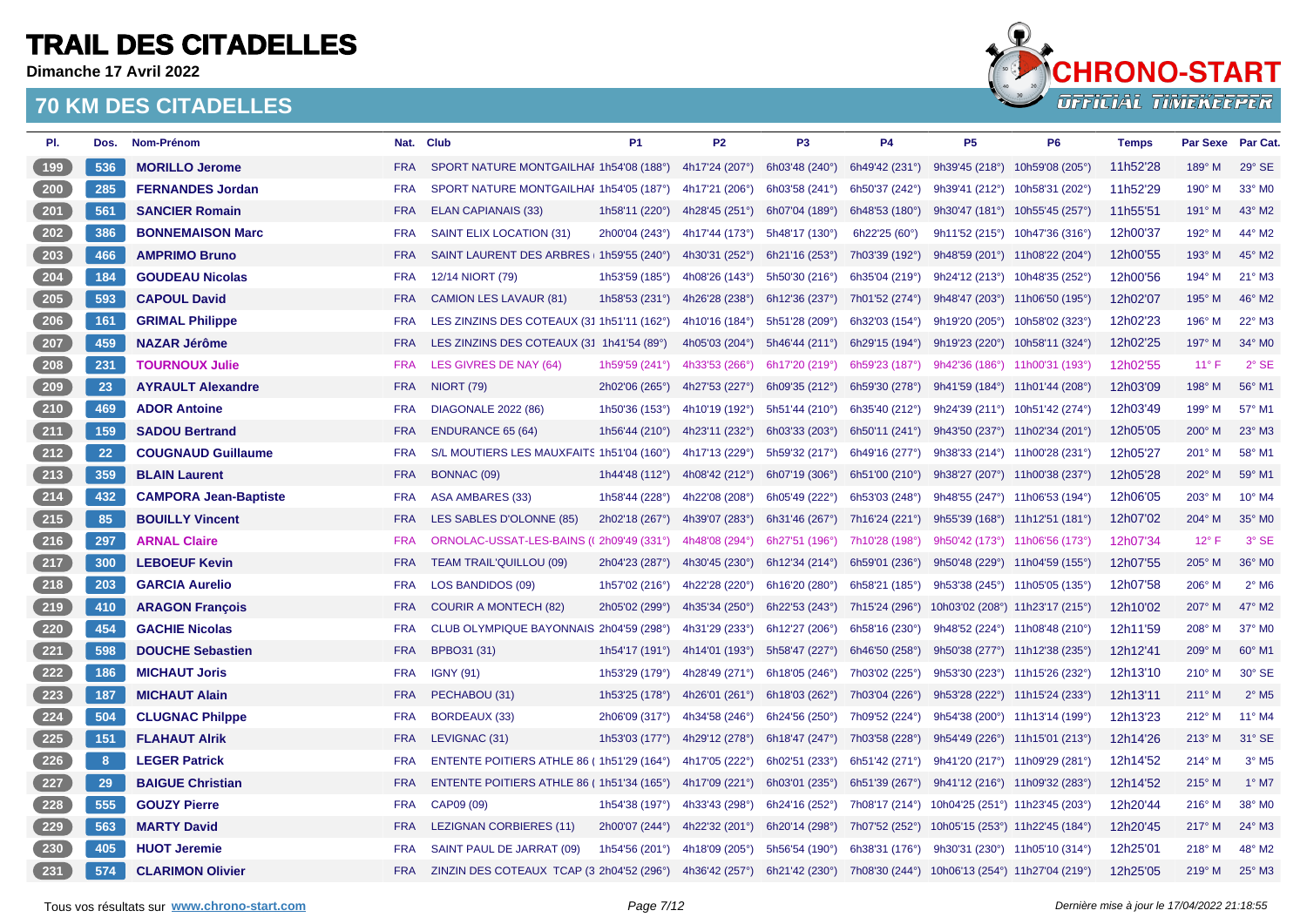**Dimanche 17 Avril 2022**



| PI.                                | Dos. | Nom-Prénom                   | Nat.       | <b>Club</b>                                | P <sub>1</sub> | P <sub>2</sub> | P <sub>3</sub>          | <b>P4</b>                                      | P <sub>5</sub>                                 | P <sub>6</sub>                  | <b>Temps</b> | Par Sexe Par Cat. |                            |
|------------------------------------|------|------------------------------|------------|--------------------------------------------|----------------|----------------|-------------------------|------------------------------------------------|------------------------------------------------|---------------------------------|--------------|-------------------|----------------------------|
| 199                                | 536  | <b>MORILLO Jerome</b>        | <b>FRA</b> | SPORT NATURE MONTGAILHAI 1h54'08 (188°)    |                | 4h17'24 (207°) | 6h03'48 (240°)          | 6h49'42 (231°)                                 | 9h39'45 (218°) 10h59'08 (205°)                 |                                 | 11h52'28     | 189° M            | 29° SE                     |
| 200                                | 285  | <b>FERNANDES Jordan</b>      | <b>FRA</b> | SPORT NATURE MONTGAILHAI 1h54'05 (187°)    |                | 4h17'21 (206°) | 6h03'58 (241°)          | 6h50'37 (242°)                                 | 9h39'41 (212°)                                 | 10h58'31 (202°)                 | 11h52'29     | 190° M            | 33° MO                     |
| 201                                | 561  | <b>SANCIER Romain</b>        | <b>FRA</b> | <b>ELAN CAPIANAIS (33)</b>                 | 1h58'11 (220°) | 4h28'45 (251°) | 6h07'04 (189°)          | 6h48'53 (180°)                                 | 9h30'47 (181°)                                 | 10h55'45 (257°)                 | 11h55'51     | $191^\circ$ M     | 43° M2                     |
| 202                                | 386  | <b>BONNEMAISON Marc</b>      | <b>FRA</b> | SAINT ELIX LOCATION (31)                   | 2h00'04 (243°) | 4h17'44 (173°) | 5h48'17 (130°)          | 6h22'25 $(60^{\circ})$                         | 9h11'52 (215°)                                 | 10h47'36 (316°)                 | 12h00'37     | 192° M            | 44° M2                     |
| 203                                | 466  | <b>AMPRIMO Bruno</b>         | <b>FRA</b> | SAINT LAURENT DES ARBRES   1h59'55 (240°)  |                | 4h30'31 (252°) | 6h21'16 (253°)          | 7h03'39 (192°)                                 |                                                | 9h48'59 (201°) 11h08'22 (204°)  | 12h00'55     | $193^\circ$ M     | 45° M2                     |
| $204$                              | 184  | <b>GOUDEAU Nicolas</b>       | <b>FRA</b> | 12/14 NIORT (79)                           | 1h53'59 (185°) | 4h08'26 (143°) | 5h50'30 (216°)          | 6h35'04 (219°)                                 |                                                | 9h24'12 (213°) 10h48'35 (252°)  | 12h00'56     | 194° M            | 21° M3                     |
| $\frac{205}{205}$                  | 593  | <b>CAPOUL David</b>          | <b>FRA</b> | <b>CAMION LES LAVAUR (81)</b>              | 1h58'53 (231°) | 4h26'28 (238°) | 6h12'36 (237°)          | 7h01'52 (274°)                                 | 9h48'47 (203°)                                 | 11h06'50 (195°)                 | 12h02'07     | $195^\circ$ M     | 46° M2                     |
| $206$                              | 161  | <b>GRIMAL Philippe</b>       | <b>FRA</b> | LES ZINZINS DES COTEAUX (31 1h51'11 (162°) |                | 4h10'16 (184°) | 5h51'28 (209°)          | 6h32'03 (154°)                                 | 9h19'20 (205°)                                 | 10h58'02 (323°)                 | 12h02'23     | 196° M            | 22° M3                     |
| 207                                | 459  | <b>NAZAR Jérôme</b>          | <b>FRA</b> | LES ZINZINS DES COTEAUX (31 1h41'54 (89°)  |                | 4h05'03 (204°) | 5h46'44 (211°)          | 6h29'15 (194°)                                 | 9h19'23 (220°)                                 | 10h58'11 (324°)                 | 12h02'25     | $197^\circ$ M     | $34^\circ$ M <sub>0</sub>  |
| 208                                | 231  | <b>TOURNOUX Julie</b>        | <b>FRA</b> | LES GIVRES DE NAY (64)                     | 1h59'59 (241°) | 4h33'53 (266°) | 6h17'20 (219°)          | 6h59'23 $(187°)$                               |                                                | 9h42'36 (186°) 11h00'31 (193°)  | 12h02'55     | $11^{\circ}$ F    | $2°$ SE                    |
| 209                                | 23   | <b>AYRAULT Alexandre</b>     | <b>FRA</b> | <b>NIORT (79)</b>                          | 2h02'06 (265°) | 4h27'53 (227°) | 6h09'35 (212°)          | 6h59'30 (278°)                                 | 9h41'59 (184°) 11h01'44 (208°)                 |                                 | 12h03'09     | 198° M            | 56° M1                     |
| $210$                              | 469  | <b>ADOR Antoine</b>          | <b>FRA</b> | <b>DIAGONALE 2022 (86)</b>                 | 1h50'36 (153°) | 4h10'19 (192°) | 5h51'44 (210°)          | 6h35'40 (212°)                                 |                                                | 9h24'39 (211°) 10h51'42 (274°)  | 12h03'49     | 199° M            | 57° M1                     |
| (211)                              | 159  | <b>SADOU Bertrand</b>        | <b>FRA</b> | <b>ENDURANCE 65 (64)</b>                   | 1h56'44 (210°) | 4h23'11 (232°) | 6h03'33 (203°)          | 6h50'11 (241°)                                 | 9h43'50 (237°)                                 | 11h02'34 (201°)                 | 12h05'05     | $200^\circ$ M     | $23^\circ$ M3              |
| $\frac{212}{2}$                    | 22   | <b>COUGNAUD Guillaume</b>    | <b>FRA</b> | S/L MOUTIERS LES MAUXFAITS 1h51'04 (160°)  |                | 4h17'13 (229°) | 5h59'32 (217°)          | 6h49'16 (277°)                                 |                                                | 9h38'33 (214°) 11h00'28 (231°)  | 12h05'27     | $201^\circ$ M     | 58° M1                     |
| $\sqrt{213}$                       | 359  | <b>BLAIN Laurent</b>         | <b>FRA</b> | BONNAC (09)                                | 1h44'48 (112°) | 4h08'42 (212°) | 6h07'19 (306°)          | 6h51'00 (210°)                                 |                                                | 9h38'27 (207°) 11h00'38 (237°)  | 12h05'28     | 202° M            | 59° M1                     |
| $214$                              | 432  | <b>CAMPORA Jean-Baptiste</b> | <b>FRA</b> | ASA AMBARES (33)                           | 1h58'44 (228°) | 4h22'08 (208°) | 6h05'49 (222°           | 6h53'03 (248°)                                 |                                                | 9h48'55 (247°) 11h06'53 (194°)  | 12h06'05     | 203° M            | 10° M4                     |
| (215)                              | 85   | <b>BOUILLY Vincent</b>       | <b>FRA</b> | LES SABLES D'OLONNE (85)                   | 2h02'18 (267°) | 4h39'07 (283°) | 6h31'46 (267°)          | 7h16'24 (221°)                                 |                                                | $9h55'39(168°)$ 11h12'51 (181°) | 12h07'02     | 204° M            | 35° MO                     |
| $\begin{array}{c} 216 \end{array}$ | 297  | <b>ARNAL Claire</b>          | <b>FRA</b> | ORNOLAC-USSAT-LES-BAINS ((2h09'49 (331°)   |                | 4h48'08 (294°) | 6h27'51 (196°)          | 7h10'28 (198°)                                 |                                                | 9h50'42 (173°) 11h06'56 (173°)  | 12h07'34     | $12^{\circ}$ F    | 3° SE                      |
| (217)                              | 300  | <b>LEBOEUF Kevin</b>         | <b>FRA</b> | <b>TEAM TRAIL'QUILLOU (09)</b>             | 2h04'23 (287°) | 4h30'45 (230°) | 6h12'34 (214°)          | 6h59'01 (236°)                                 |                                                | 9h50'48 (229°) 11h04'59 (155°)  | 12h07'55     | 205° M            | 36° MO                     |
| $218$                              | 203  | <b>GARCIA Aurelio</b>        | <b>FRA</b> | LOS BANDIDOS (09)                          | 1h57'02 (216°) | 4h22'28 (220°) | 6h16'20 (280°)          | 6h58'21 (185°)                                 |                                                | 9h53'38 (245°) 11h05'05 (135°)  | 12h07'58     | 206° M            | $2^{\circ}$ M <sub>6</sub> |
| 219                                | 410  | <b>ARAGON Francois</b>       | <b>FRA</b> | <b>COURIR A MONTECH (82)</b>               | 2h05'02 (299°) | 4h35'34 (250°) | 6h22'53 (243°)          | 7h15'24 (296°)                                 | 10h03'02 (208°) 11h23'17 (215°)                |                                 | 12h10'02     | 207° M            | 47° M2                     |
| 220                                | 454  | <b>GACHIE Nicolas</b>        | <b>FRA</b> | CLUB OLYMPIQUE BAYONNAIS 2h04'59 (298°)    |                | 4h31'29 (233°) | 6h12'27 (206°)          | 6h58'16 (230°)                                 |                                                | 9h48'52 (224°) 11h08'48 (210°)  | 12h11'59     | 208° M            | 37° MO                     |
| 221                                | 598  | <b>DOUCHE Sebastien</b>      | <b>FRA</b> | BPBO31 (31)                                | 1h54'17 (191°) | 4h14'01 (193°) | 5h58'47 (227°)          | 6h46'50 (258°)                                 |                                                | 9h50'38 (277°) 11h12'38 (235°)  | 12h12'41     | $209^\circ$ M     | $60^\circ$ M1              |
| 222                                | 186  | <b>MICHAUT Joris</b>         | <b>FRA</b> | <b>IGNY (91)</b>                           | 1h53'29 (179°) | 4h28'49 (271°) | 6h18'05 (246°)          | 7h03'02 (225°)                                 |                                                | 9h53'30 (223°) 11h15'26 (232°)  | 12h13'10     | $210^\circ$ M     | 30° SE                     |
| 223                                | 187  | <b>MICHAUT Alain</b>         | <b>FRA</b> | PECHABOU (31)                              | 1h53'25 (178°) | 4h26'01 (261°) | 6h18'03 (262°)          | 7h03'04 (226°)                                 | $9h53'28$ (222°)                               | 11h15'24 (233°)                 | 12h13'11     | $211^\circ$ M     | $2^{\circ}$ M <sub>5</sub> |
| 224                                | 504  | <b>CLUGNAC Philppe</b>       | <b>FRA</b> | <b>BORDEAUX (33)</b>                       | 2h06'09 (317°) | 4h34'58 (246°) | 6h24'56 (250°)          | 7h09'52 (224°)                                 |                                                | 9h54'38 (200°) 11h13'14 (199°)  | 12h13'23     | 212° M            | $11^{\circ}$ M4            |
| 225                                | 151  | <b>FLAHAUT AIrik</b>         | <b>FRA</b> | LEVIGNAC (31)                              | 1h53'03 (177°) | 4h29'12 (278°) | 6h18'47 (247°)          | 7h03'58 (228°)                                 |                                                | 9h54'49 (226°) 11h15'01 (213°)  | 12h14'26     | $213^\circ$ M     | 31° SE                     |
| 226                                | 8    | <b>LEGER Patrick</b>         | <b>FRA</b> | ENTENTE POITIERS ATHLE 86 (1h51'29 (164°)  |                | 4h17'05 (222°) | 6h02'51 $(233^{\circ})$ | 6h51'42 (271°)                                 |                                                | 9h41'20 (217°) 11h09'29 (281°)  | 12h14'52     | 214° M            | $3°$ M <sub>5</sub>        |
| 227                                | 29   | <b>BAIGUE Christian</b>      | <b>FRA</b> | ENTENTE POITIERS ATHLE 86 (1h51'34 (165°)  |                | 4h17'09 (221°) | 6h03'01 (235°)          | 6h51'39 (267°)                                 |                                                | 9h41'12 (216°) 11h09'32 (283°)  | 12h14'52     | 215° M            | $1^\circ$ M7               |
| 228                                | 555  | <b>GOUZY Pierre</b>          | <b>FRA</b> | CAP09 (09)                                 | 1h54'38 (197°) | 4h33'43 (298°) | 6h24'16 (252°)          |                                                | 7h08'17 (214°) 10h04'25 (251°) 11h23'45 (203°) |                                 | 12h20'44     | $216^\circ$ M     | 38° MO                     |
| 229                                | 563  | <b>MARTY David</b>           | <b>FRA</b> | <b>LEZIGNAN CORBIERES (11)</b>             | 2h00'07 (244°) | 4h22'32 (201°) | 6h20'14 (298°)          | 7h07'52 (252°)                                 | 10h05'15 (253°) 11h22'45 (184°)                |                                 | 12h20'45     | $217^\circ$ M     | 24° M3                     |
| $230$                              | 405  | <b>HUOT Jeremie</b>          | <b>FRA</b> | SAINT PAUL DE JARRAT (09)                  | 1h54'56 (201°) | 4h18'09 (205°) | 5h56'54 (190°)          | 6h38'31 (176°)                                 | 9h30'31 (230°) 11h05'10 (314°)                 |                                 | 12h25'01     | $218^\circ$ M     | 48° M2                     |
| (231)                              | 574  | <b>CLARIMON Olivier</b>      | <b>FRA</b> | ZINZIN DES COTEAUX TCAP (3 2h04'52 (296°)  |                | 4h36'42 (257°) | 6h21'42 (230°)          | 7h08'30 (244°) 10h06'13 (254°) 11h27'04 (219°) |                                                |                                 | 12h25'05     | 219° M            | $25^\circ$ M3              |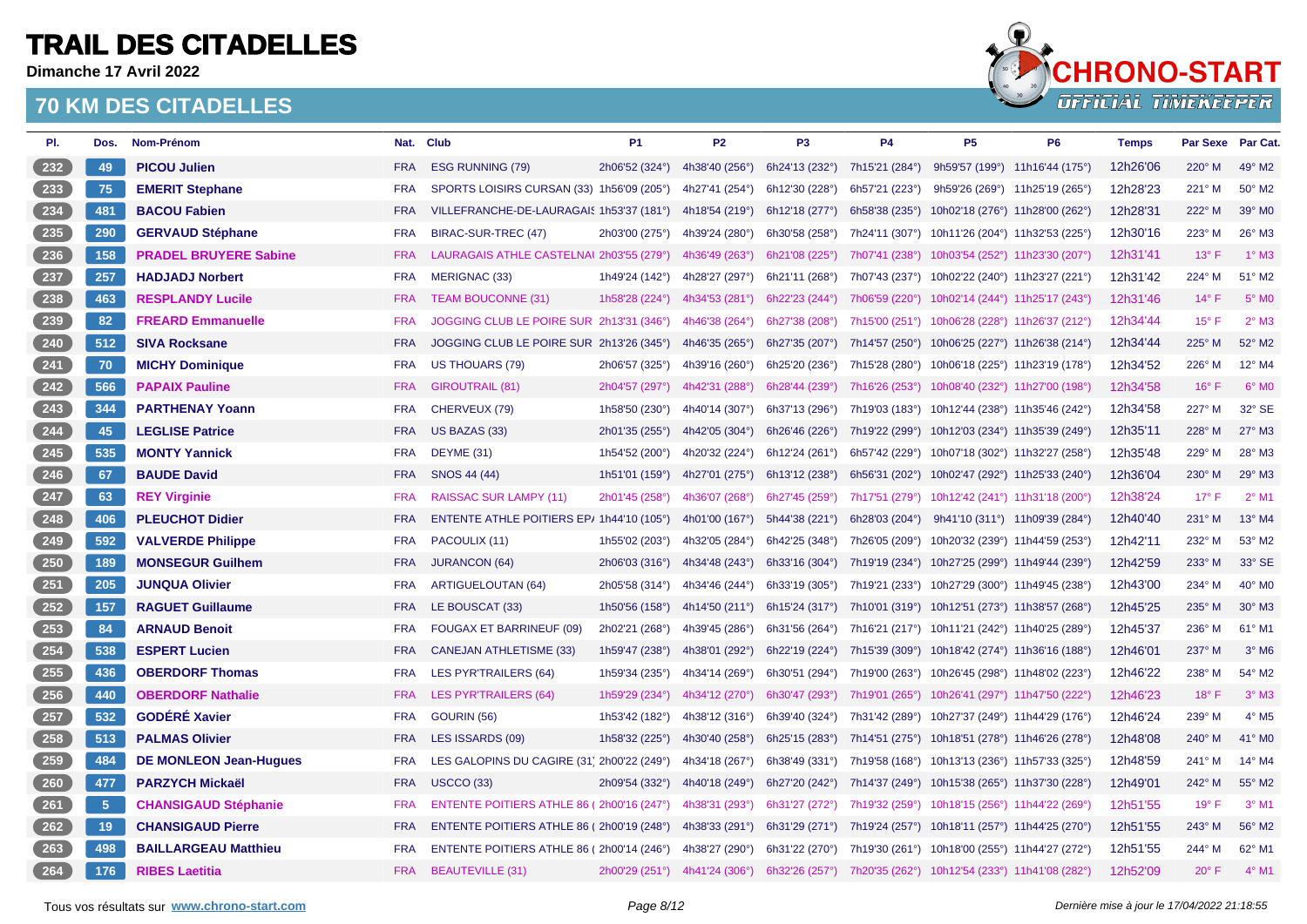**Dimanche 17 Avril 2022**



| PI.               | Dos.           | Nom-Prénom                    |            | Nat. Club                                  | <b>P1</b>      | P <sub>2</sub>                | P <sub>3</sub> | <b>P4</b>                                                     | P <sub>5</sub>                                 | P <sub>6</sub>                 | <b>Temps</b> | Par Sexe Par Cat. |                     |
|-------------------|----------------|-------------------------------|------------|--------------------------------------------|----------------|-------------------------------|----------------|---------------------------------------------------------------|------------------------------------------------|--------------------------------|--------------|-------------------|---------------------|
| $232$             | 49             | <b>PICOU Julien</b>           | <b>FRA</b> | ESG RUNNING (79)                           | 2h06'52 (324°) | 4h38'40 (256°)                | 6h24'13 (232°) | 7h15'21 (284°)                                                |                                                | 9h59'57 (199°) 11h16'44 (175°) | 12h26'06     | 220° M            | 49° M2              |
| $233$             | 75             | <b>EMERIT Stephane</b>        | <b>FRA</b> | SPORTS LOISIRS CURSAN (33) 1h56'09 (205°)  |                | 4h27'41 (254°)                | 6h12'30 (228°) | 6h57'21 (223°)                                                |                                                | 9h59'26 (269°) 11h25'19 (265°) | 12h28'23     | 221° M            | 50° M2              |
| 234               | 481            | <b>BACOU Fabien</b>           | <b>FRA</b> | VILLEFRANCHE-DE-LAURAGAI {1h53'37 (181°)   |                | 4h18'54 (219°)                | 6h12'18 (277°) | 6h58'38(235°)                                                 | 10h02'18 (276°) 11h28'00 (262°)                |                                | 12h28'31     | 222° M            | 39° MO              |
| $235$             | 290            | <b>GERVAUD Stéphane</b>       | <b>FRA</b> | BIRAC-SUR-TREC (47)                        | 2h03'00 (275°) | 4h39'24 (280°)                | 6h30'58 (258°) |                                                               | 7h24'11 (307°) 10h11'26 (204°) 11h32'53 (225°) |                                | 12h30'16     | $223^\circ$ M     | 26° M3              |
| 236               | 158            | <b>PRADEL BRUYERE Sabine</b>  | <b>FRA</b> | LAURAGAIS ATHLE CASTELNAI 2h03'55 (279°)   |                | 4h36'49 (263°)                | 6h21'08 (225°) | 7h07'41 (238°)                                                | 10h03'54 (252°) 11h23'30 (207°)                |                                | 12h31'41     | $13^{\circ}$ F    | $1^\circ$ M3        |
| 237               | 257            | <b>HADJADJ Norbert</b>        | <b>FRA</b> | <b>MERIGNAC (33)</b>                       | 1h49'24 (142°) | 4h28'27 (297°)                | 6h21'11 (268°) | 7h07'43 (237°)                                                | 10h02'22 (240°) 11h23'27 (221°)                |                                | 12h31'42     | 224° M            | 51° M2              |
| 238               | 463            | <b>RESPLANDY Lucile</b>       | <b>FRA</b> | <b>TEAM BOUCONNE (31)</b>                  | 1h58'28 (224°) | 4h34'53 (281°)                | 6h22'23 (244°) | 7h06'59 (220°)                                                | 10h02'14 (244°) 11h25'17 (243°)                |                                | 12h31'46     | $14^{\circ}$ F    | $5^\circ$ MO        |
| 239               | 82             | <b>FREARD Emmanuelle</b>      | <b>FRA</b> | JOGGING CLUB LE POIRE SUR 2h13'31 (346°)   |                | 4h46'38 (264°)                | 6h27'38 (208°) |                                                               | 7h15'00 (251°) 10h06'28 (228°) 11h26'37 (212°) |                                | 12h34'44     | $15^{\circ}$ F    | $2^{\circ}$ M3      |
| $\frac{240}{ }$   | 512            | <b>SIVA Rocksane</b>          | <b>FRA</b> | JOGGING CLUB LE POIRE SUR 2h13'26 (345°)   |                | 4h46'35 (265°)                | 6h27'35 (207°) | 7h14'57 (250°)                                                | 10h06'25 (227°) 11h26'38 (214°)                |                                | 12h34'44     | 225° M            | 52° M2              |
| 241               | 70             | <b>MICHY Dominique</b>        | <b>FRA</b> | <b>US THOUARS (79)</b>                     | 2h06'57 (325°) | 4h39'16 (260°)                | 6h25'20 (236°) |                                                               | 7h15'28 (280°) 10h06'18 (225°) 11h23'19 (178°) |                                | 12h34'52     | 226° M            | 12° M4              |
| $\frac{242}{ }$   | 566            | <b>PAPAIX Pauline</b>         | <b>FRA</b> | <b>GIROUTRAIL (81)</b>                     | 2h04'57 (297°) | 4h42'31 (288°)                | 6h28'44 (239°) |                                                               | 7h16'26 (253°) 10h08'40 (232°) 11h27'00 (198°) |                                | 12h34'58     | $16^{\circ}$ F    | $6^\circ$ MO        |
| $243$             | 344            | <b>PARTHENAY Yoann</b>        | <b>FRA</b> | CHERVEUX (79)                              | 1h58'50 (230°) | 4h40'14 (307°)                | 6h37'13 (296°) |                                                               | 7h19'03 (183°) 10h12'44 (238°) 11h35'46 (242°) |                                | 12h34'58     | 227° M            | 32° SE              |
| $\overline{244}$  | 45             | <b>LEGLISE Patrice</b>        | <b>FRA</b> | US BAZAS (33)                              | 2h01'35 (255°) | 4h42'05 (304°)                | 6h26'46 (226°) |                                                               | 7h19'22 (299°) 10h12'03 (234°) 11h35'39 (249°) |                                | 12h35'11     | 228° M            | $27^\circ$ M3       |
| $245$             | 535            | <b>MONTY Yannick</b>          | <b>FRA</b> | DEYME (31)                                 | 1h54'52 (200°) | 4h20'32 (224°)                | 6h12'24 (261°) |                                                               | 6h57'42 (229°) 10h07'18 (302°) 11h32'27 (258°) |                                | 12h35'48     | 229° M            | 28° M3              |
| $\frac{246}{ }$   | 67             | <b>BAUDE David</b>            | <b>FRA</b> | SNOS 44 (44)                               | 1h51'01 (159°) | 4h27'01 (275°)                | 6h13'12 (238°) | 6h56'31 (202°)                                                | 10h02'47 (292°) 11h25'33 (240°)                |                                | 12h36'04     | $230^\circ$ M     | 29° M3              |
| 247               | 63             | <b>REY Virginie</b>           | <b>FRA</b> | <b>RAISSAC SUR LAMPY (11)</b>              | 2h01'45 (258°) | 4h36'07 (268°)                | 6h27'45 (259°) | 7h17'51 (279°)                                                | 10h12'42 (241°) 11h31'18 (200°)                |                                | 12h38'24     | $17^{\circ}$ F    | $2^{\circ}$ M1      |
| 248               | 406            | <b>PLEUCHOT Didier</b>        | <b>FRA</b> | ENTENTE ATHLE POITIERS EP/ 1h44'10 (105°)  |                | 4h01'00 (167°)                | 5h44'38 (221°) | 6h28'03 (204°)                                                |                                                | 9h41'10 (311°) 11h09'39 (284°) | 12h40'40     | 231° M            | $13^\circ$ M4       |
| 249               | 592            | <b>VALVERDE Philippe</b>      | <b>FRA</b> | PACOULIX (11)                              | 1h55'02 (203°) | 4h32'05 (284°)                | 6h42'25 (348°) |                                                               | 7h26'05 (209°) 10h20'32 (239°) 11h44'59 (253°) |                                | 12h42'11     | 232° M            | 53° M2              |
| $250$             | 189            | <b>MONSEGUR Guilhem</b>       | <b>FRA</b> | <b>JURANCON (64)</b>                       | 2h06'03 (316°) | 4h34'48 (243°)                | 6h33'16 (304°) |                                                               | 7h19'19 (234°) 10h27'25 (299°) 11h49'44 (239°) |                                | 12h42'59     | 233° M            | 33° SE              |
| 251               | 205            | <b>JUNQUA Olivier</b>         | <b>FRA</b> | <b>ARTIGUELOUTAN (64)</b>                  | 2h05'58 (314°) | 4h34'46 (244°)                | 6h33'19 (305°) | 7h19'21 (233°) 10h27'29 (300°) 11h49'45 (238°)                |                                                |                                | 12h43'00     | 234° M            | 40° MO              |
| 252               | 157            | <b>RAGUET Guillaume</b>       | <b>FRA</b> | LE BOUSCAT (33)                            | 1h50'56 (158°) | 4h14'50 (211°) 6h15'24 (317°) |                | 7h10'01 (319°) 10h12'51 (273°) 11h38'57 (268°)                |                                                |                                | 12h45'25     | 235° M            | $30^\circ$ M3       |
| $253$             | 84             | <b>ARNAUD Benoit</b>          | <b>FRA</b> | <b>FOUGAX ET BARRINEUF (09)</b>            | 2h02'21 (268°) | 4h39'45 (286°)                | 6h31'56 (264°) |                                                               | 7h16'21 (217°) 10h11'21 (242°) 11h40'25 (289°) |                                | 12h45'37     | $236^\circ$ M     | 61° M1              |
| $254$             | 538            | <b>ESPERT Lucien</b>          | <b>FRA</b> | <b>CANEJAN ATHLETISME (33)</b>             | 1h59'47 (238°) | 4h38'01 (292°)                | 6h22'19 (224°) |                                                               | 7h15'39 (309°) 10h18'42 (274°) 11h36'16 (188°) |                                | 12h46'01     | 237° M            | $3°$ M <sub>6</sub> |
| 255               | 436            | <b>OBERDORF Thomas</b>        | <b>FRA</b> | <b>LES PYR'TRAILERS (64)</b>               | 1h59'34 (235°) | 4h34'14 (269°)                | 6h30'51 (294°) |                                                               | 7h19'00 (263°) 10h26'45 (298°) 11h48'02 (223°) |                                | 12h46'22     | 238° M            | 54° M2              |
| $\frac{256}{ }$   | 440            | <b>OBERDORF Nathalie</b>      | <b>FRA</b> | <b>LES PYR'TRAILERS (64)</b>               | 1h59'29 (234°) | 4h34'12 (270°)                | 6h30'47 (293°) |                                                               | 7h19'01 (265°) 10h26'41 (297°) 11h47'50 (222°) |                                | 12h46'23     | $18^{\circ}$ F    | $3°$ M <sub>3</sub> |
| 257               | 532            | <b>GODÉRÉ Xavier</b>          | <b>FRA</b> | GOURIN (56)                                | 1h53'42 (182°) | 4h38'12 (316°)                | 6h39'40 (324°) |                                                               | 7h31'42 (289°) 10h27'37 (249°) 11h44'29 (176°) |                                | 12h46'24     | 239° M            | 4° M5               |
| 258               | 513            | <b>PALMAS Olivier</b>         | <b>FRA</b> | LES ISSARDS (09)                           | 1h58'32 (225°) | 4h30'40 (258°)                | 6h25'15 (283°) |                                                               | 7h14'51 (275°) 10h18'51 (278°) 11h46'26 (278°) |                                | 12h48'08     | 240° M            | 41° MO              |
| $259$             | 484            | <b>DE MONLEON Jean-Hugues</b> | <b>FRA</b> | LES GALOPINS DU CAGIRE (31) 2h00'22 (249°) |                | 4h34'18 (267°)                | 6h38'49 (331°) | 7h19'58 (168°) 10h13'13 (236°) 11h57'33 (325°)                |                                                |                                | 12h48'59     | 241° M            | $14^{\circ}$ M4     |
| (260)             | 477            | <b>PARZYCH Mickaël</b>        | <b>FRA</b> | <b>USCCO (33)</b>                          | 2h09'54 (332°) | 4h40'18 (249°)                | 6h27'20 (242°) |                                                               | 7h14'37 (249°) 10h15'38 (265°) 11h37'30 (228°) |                                | 12h49'01     | $242^\circ$ M     | 55° M2              |
| $\frac{261}{261}$ | 5 <sub>5</sub> | <b>CHANSIGAUD Stéphanie</b>   | <b>FRA</b> | ENTENTE POITIERS ATHLE 86 (2h00'16 (247°)  |                | 4h38'31 (293°)                | 6h31'27 (272°) |                                                               | 7h19'32 (259°) 10h18'15 (256°) 11h44'22 (269°) |                                | 12h51'55     | $19^{\circ}$ F    | $3°$ M <sub>1</sub> |
| $262$             | 19             | <b>CHANSIGAUD Pierre</b>      | <b>FRA</b> | ENTENTE POITIERS ATHLE 86 (2h00'19 (248°)  |                | 4h38'33 (291°)                | 6h31'29 (271°) |                                                               | 7h19'24 (257°) 10h18'11 (257°) 11h44'25 (270°) |                                | 12h51'55     | 243° M            | 56° M2              |
| $263$             | 498            | <b>BAILLARGEAU Matthieu</b>   | <b>FRA</b> | ENTENTE POITIERS ATHLE 86 (2h00'14 (246°)  |                | 4h38'27 (290°)                | 6h31'22 (270°) |                                                               | 7h19'30 (261°) 10h18'00 (255°) 11h44'27 (272°) |                                | 12h51'55     | 244° M            | 62° M1              |
| (264)             | 176            | <b>RIBES Laetitia</b>         | <b>FRA</b> | <b>BEAUTEVILLE (31)</b>                    | 2h00'29 (251°) | 4h41'24 (306°)                |                | 6h32'26 (257°) 7h20'35 (262°) 10h12'54 (233°) 11h41'08 (282°) |                                                |                                | 12h52'09     | $20^{\circ}$ F    | $4^{\circ}$ M1      |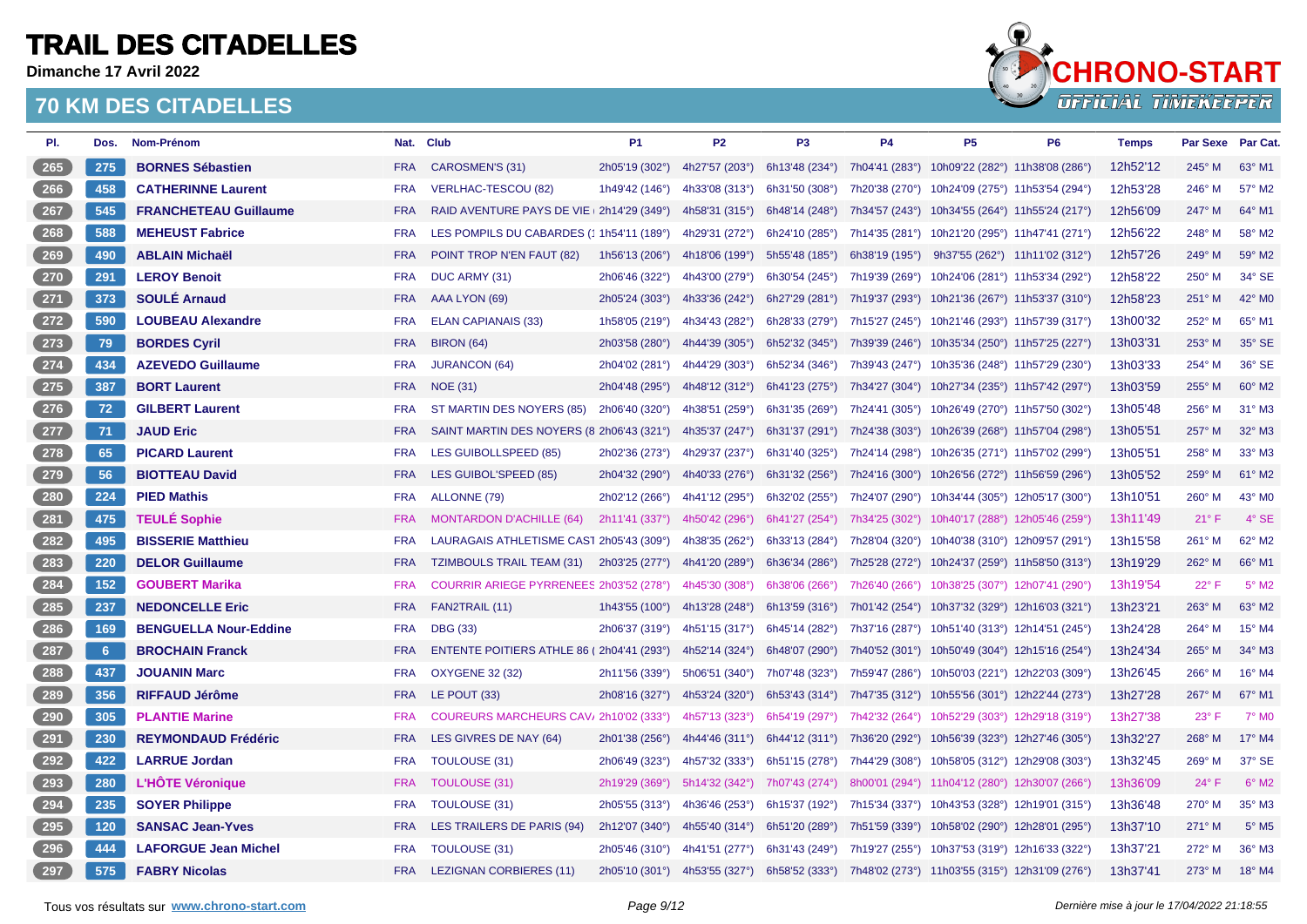**Dimanche 17 Avril 2022**



| PI.             | Dos.            | Nom-Prénom                   |            | Nat. Club                                  | <b>P1</b>      | <b>P2</b>      | <b>P3</b>      | <b>P4</b>      | <b>P5</b>                                      | P <sub>6</sub> | <b>Temps</b> | <b>Par Sexe</b> | Par Cat.                 |
|-----------------|-----------------|------------------------------|------------|--------------------------------------------|----------------|----------------|----------------|----------------|------------------------------------------------|----------------|--------------|-----------------|--------------------------|
| $265$           | 275             | <b>BORNES Sébastien</b>      | <b>FRA</b> | CAROSMEN'S (31)                            | 2h05'19 (302°) | 4h27'57 (203°) | 6h13'48 (234°) |                | 7h04'41 (283°) 10h09'22 (282°) 11h38'08 (286°) |                | 12h52'12     | 245° M          | 63° M1                   |
| 266             | 458             | <b>CATHERINNE Laurent</b>    | <b>FRA</b> | VERLHAC-TESCOU (82)                        | 1h49'42 (146°) | 4h33'08 (313°) | 6h31'50 (308°) | 7h20'38 (270°) | 10h24'09 (275°) 11h53'54 (294°)                |                | 12h53'28     | 246° M          | 57° M2                   |
| 267             | 545             | <b>FRANCHETEAU Guillaume</b> | <b>FRA</b> | RAID AVENTURE PAYS DE VIE + 2h14'29 (349°) |                | 4h58'31 (315°) | 6h48'14 (248°) |                | 7h34'57 (243°) 10h34'55 (264°) 11h55'24 (217°) |                | 12h56'09     | 247° M          | 64° M1                   |
| $268$           | 588             | <b>MEHEUST Fabrice</b>       | <b>FRA</b> | LES POMPILS DU CABARDES (1 1h54'11 (189°)  |                | 4h29'31 (272°) | 6h24'10 (285°) |                | 7h14'35 (281°) 10h21'20 (295°) 11h47'41 (271°) |                | 12h56'22     | 248° M          | 58° M2                   |
| 269             | 490             | <b>ABLAIN Michaël</b>        | <b>FRA</b> | POINT TROP N'EN FAUT (82)                  | 1h56'13 (206°) | 4h18'06 (199°) | 5h55'48 (185°) |                | 6h38'19 (195°) 9h37'55 (262°) 11h11'02 (312°)  |                | 12h57'26     | 249° M          | 59° M2                   |
| $270$           | 291             | <b>LEROY Benoit</b>          | <b>FRA</b> | DUC ARMY (31)                              | 2h06'46 (322°) | 4h43'00 (279°) | 6h30'54 (245°) |                | 7h19'39 (269°) 10h24'06 (281°) 11h53'34 (292°) |                | 12h58'22     | $250^\circ$ M   | 34° SE                   |
| 271             | 373             | <b>SOULÉ Arnaud</b>          | <b>FRA</b> | AAA LYON (69)                              | 2h05'24 (303°) | 4h33'36 (242°) | 6h27'29 (281°) |                | 7h19'37 (293°) 10h21'36 (267°) 11h53'37 (310°) |                | 12h58'23     | $251^\circ$ M   | 42° MO                   |
| 272             | 590             | <b>LOUBEAU Alexandre</b>     | <b>FRA</b> | <b>ELAN CAPIANAIS (33)</b>                 | 1h58'05 (219°) | 4h34'43 (282°) | 6h28'33 (279°) |                | 7h15'27 (245°) 10h21'46 (293°) 11h57'39 (317°) |                | 13h00'32     | 252° M          | 65° M1                   |
| 273             | 79              | <b>BORDES Cyril</b>          | <b>FRA</b> | <b>BIRON (64)</b>                          | 2h03'58 (280°) | 4h44'39 (305°) | 6h52'32 (345°) |                | 7h39'39 (246°) 10h35'34 (250°) 11h57'25 (227°) |                | 13h03'31     | $253^\circ$ M   | $35^\circ$ SE            |
| 274             | 434             | <b>AZEVEDO Guillaume</b>     | <b>FRA</b> | <b>JURANCON (64)</b>                       | 2h04'02 (281°) | 4h44'29 (303°) | 6h52'34 (346°) |                | 7h39'43 (247°) 10h35'36 (248°) 11h57'29 (230°) |                | 13h03'33     | 254° M          | 36° SE                   |
| 275             | 387             | <b>BORT Laurent</b>          | <b>FRA</b> | <b>NOE (31)</b>                            | 2h04'48 (295°) | 4h48'12 (312°) | 6h41'23 (275°) |                | 7h34'27 (304°) 10h27'34 (235°) 11h57'42 (297°) |                | 13h03'59     | $255^{\circ}$ M | $60^\circ$ M2            |
| 276             | 72              | <b>GILBERT Laurent</b>       | <b>FRA</b> | ST MARTIN DES NOYERS (85)                  | 2h06'40 (320°) | 4h38'51 (259°) | 6h31'35 (269°) |                | 7h24'41 (305°) 10h26'49 (270°) 11h57'50 (302°) |                | 13h05'48     | $256^\circ$ M   | $31^\circ$ M3            |
| 277             | 71              | <b>JAUD Eric</b>             | <b>FRA</b> | SAINT MARTIN DES NOYERS (8 2h06'43 (321°)  |                | 4h35'37 (247°) | 6h31'37 (291°) | 7h24'38 (303°) | 10h26'39 (268°) 11h57'04 (298°)                |                | 13h05'51     | $257^\circ$ M   | 32° M3                   |
| $278$           | 65              | <b>PICARD Laurent</b>        | <b>FRA</b> | LES GUIBOLLSPEED (85)                      | 2h02'36 (273°) | 4h29'37 (237°) | 6h31'40 (325°) |                | 7h24'14 (298°) 10h26'35 (271°) 11h57'02 (299°) |                | 13h05'51     | 258° M          | $33^\circ$ M3            |
| $\boxed{279}$   | 56              | <b>BIOTTEAU David</b>        | <b>FRA</b> | LES GUIBOL'SPEED (85)                      | 2h04'32 (290°) | 4h40'33 (276°) | 6h31'32 (256°) |                | 7h24'16 (300°) 10h26'56 (272°) 11h56'59 (296°) |                | 13h05'52     | 259° M          | 61° M2                   |
| $280$           | 224             | <b>PIED Mathis</b>           | <b>FRA</b> | ALLONNE (79)                               | 2h02'12 (266°) | 4h41'12 (295°) | 6h32'02 (255°) |                | 7h24'07 (290°) 10h34'44 (305°) 12h05'17 (300°) |                | 13h10'51     | 260° M          | 43° MO                   |
| $\boxed{281}$   | 475             | <b>TEULÉ Sophie</b>          | <b>FRA</b> | <b>MONTARDON D'ACHILLE (64)</b>            | 2h11'41 (337°) | 4h50'42 (296°) | 6h41'27 (254°) | 7h34'25 (302°) | 10h40'17 (288°) 12h05'46 (259°)                |                | 13h11'49     | 21° F           | 4° SE                    |
| 282             | 495             | <b>BISSERIE Matthieu</b>     | <b>FRA</b> | LAURAGAIS ATHLETISME CAST 2h05'43 (309°)   |                | 4h38'35 (262°) | 6h33'13 (284°) |                | 7h28'04 (320°) 10h40'38 (310°) 12h09'57 (291°) |                | 13h15'58     | 261° M          | 62° M2                   |
| 283             | 220             | <b>DELOR Guillaume</b>       | <b>FRA</b> | TZIMBOULS TRAIL TEAM (31)                  | 2h03'25 (277°) | 4h41'20 (289°) | 6h36'34 (286°) |                | 7h25'28 (272°) 10h24'37 (259°) 11h58'50 (313°) |                | 13h19'29     | 262° M          | 66° M1                   |
| 284             | 152             | <b>GOUBERT Marika</b>        | <b>FRA</b> | COURRIR ARIEGE PYRRENEES 2h03'52 (278°)    |                | 4h45'30 (308°) | 6h38'06 (266°) |                | 7h26'40 (266°) 10h38'25 (307°) 12h07'41 (290°) |                | 13h19'54     | $22^{\circ}$ F  | $5^\circ$ M2             |
| 285             | 237             | <b>NEDONCELLE Eric</b>       | <b>FRA</b> | FAN2TRAIL (11)                             | 1h43'55 (100°) | 4h13'28 (248°) | 6h13'59 (316°) |                | 7h01'42 (254°) 10h37'32 (329°) 12h16'03 (321°) |                | 13h23'21     | 263° M          | 63° M2                   |
| $286$           | 169             | <b>BENGUELLA Nour-Eddine</b> | <b>FRA</b> | <b>DBG</b> (33)                            | 2h06'37 (319°) | 4h51'15 (317°) | 6h45'14 (282°) |                | 7h37'16 (287°) 10h51'40 (313°) 12h14'51 (245°) |                | 13h24'28     | 264° M          | 15° M4                   |
| 287             | $6\phantom{.}6$ | <b>BROCHAIN Franck</b>       | <b>FRA</b> | ENTENTE POITIERS ATHLE 86 (2h04'41 (293°)  |                | 4h52'14 (324°) | 6h48'07 (290°) |                | 7h40'52 (301°) 10h50'49 (304°) 12h15'16 (254°) |                | 13h24'34     | 265° M          | $34^\circ$ M3            |
| 288             | 437             | <b>JOUANIN Marc</b>          | <b>FRA</b> | <b>OXYGENE 32 (32)</b>                     | 2h11'56 (339°) | 5h06'51 (340°) | 7h07'48 (323°) |                | 7h59'47 (286°) 10h50'03 (221°) 12h22'03 (309°) |                | 13h26'45     | $266^\circ$ M   | 16° M4                   |
| 289             | 356             | <b>RIFFAUD Jérôme</b>        | <b>FRA</b> | LE POUT (33)                               | 2h08'16 (327°) | 4h53'24 (320°) | 6h53'43 (314°) |                | 7h47'35 (312°) 10h55'56 (301°) 12h22'44 (273°) |                | 13h27'28     | $267^\circ$ M   | 67° M1                   |
| $290$           | 305             | <b>PLANTIE Marine</b>        | <b>FRA</b> | COUREURS MARCHEURS CAV/2h10'02 (333°)      |                | 4h57'13 (323°) | 6h54'19 (297°) |                | 7h42'32 (264°) 10h52'29 (303°) 12h29'18 (319°) |                | 13h27'38     | $23^\circ$ F    | $7^\circ$ M <sub>0</sub> |
| 291             | 230             | <b>REYMONDAUD Frédéric</b>   | <b>FRA</b> | LES GIVRES DE NAY (64)                     | 2h01'38 (256°) | 4h44'46 (311°) | 6h44'12 (311°) |                | 7h36'20 (292°) 10h56'39 (323°) 12h27'46 (305°) |                | 13h32'27     | 268° M          | 17° M4                   |
| $292$           | 422             | <b>LARRUE Jordan</b>         | <b>FRA</b> | TOULOUSE (31)                              | 2h06'49 (323°) | 4h57'32 (333°) | 6h51'15 (278°) |                | 7h44'29 (308°) 10h58'05 (312°) 12h29'08 (303°) |                | 13h32'45     | 269° M          | 37° SE                   |
| 293             | 280             | <b>L'HOTE Véronique</b>      | <b>FRA</b> | <b>TOULOUSE (31)</b>                       | 2h19'29 (369°) | 5h14'32 (342°) | 7h07'43 (274°) |                | 8h00'01 (294°) 11h04'12 (280°) 12h30'07 (266°) |                | 13h36'09     | $24^{\circ}$ F  | $6°$ M <sub>2</sub>      |
| 294             | 235             | <b>SOYER Philippe</b>        | <b>FRA</b> | TOULOUSE (31)                              | 2h05'55 (313°) | 4h36'46 (253°) | 6h15'37 (192°) |                | 7h15'34 (337°) 10h43'53 (328°) 12h19'01 (315°) |                | 13h36'48     | $270^\circ$ M   | 35° M3                   |
| $\frac{295}{2}$ | 120             | <b>SANSAC Jean-Yves</b>      | <b>FRA</b> | LES TRAILERS DE PARIS (94)                 | 2h12'07 (340°) | 4h55'40 (314°) | 6h51'20 (289°) |                | 7h51'59 (339°) 10h58'02 (290°) 12h28'01 (295°) |                | 13h37'10     | $271^\circ$ M   | $5^\circ$ M <sub>5</sub> |
| 296             | 444             | <b>LAFORGUE Jean Michel</b>  | <b>FRA</b> | <b>TOULOUSE (31)</b>                       | 2h05'46 (310°) | 4h41'51 (277°) | 6h31'43 (249°) |                | 7h19'27 (255°) 10h37'53 (319°) 12h16'33 (322°) |                | 13h37'21     | 272° M          | 36° M3                   |
| 297             | 575             | <b>FABRY Nicolas</b>         | <b>FRA</b> | <b>LEZIGNAN CORBIERES (11)</b>             | 2h05'10 (301°) | 4h53'55 (327°) | 6h58'52 (333°) |                | 7h48'02 (273°) 11h03'55 (315°) 12h31'09 (276°) |                | 13h37'41     | $273^\circ$ M   | $18^{\circ}$ M4          |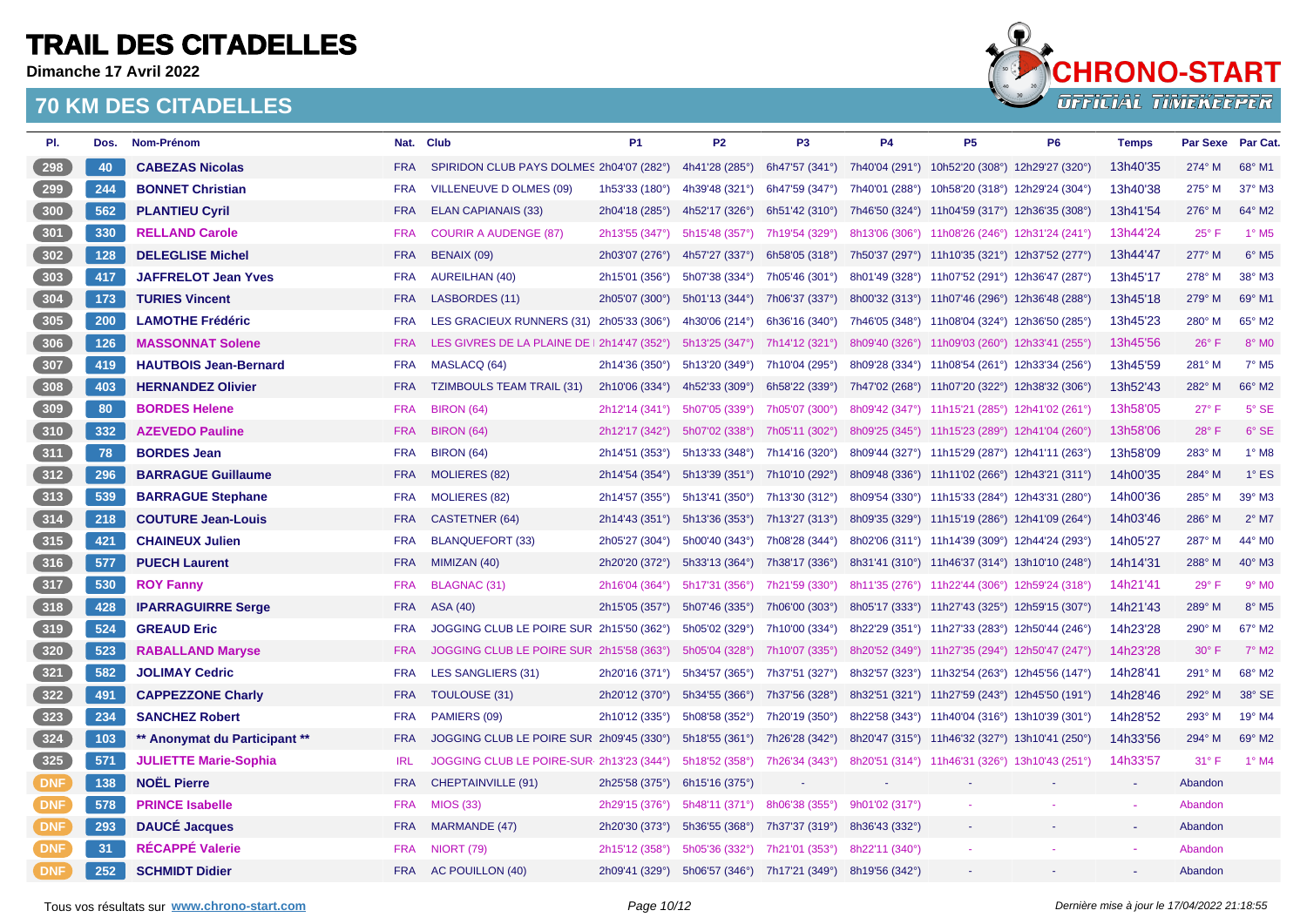**Dimanche 17 Avril 2022**



| PI.                  | Dos. | Nom-Prénom                    |            | Nat. Club                                   | P <sub>1</sub> | P <sub>2</sub> | P <sub>3</sub> | <b>P4</b>                                      | P <sub>5</sub>                                 | P <sub>6</sub> | <b>Temps</b> | Par Sexe Par Cat. |                            |
|----------------------|------|-------------------------------|------------|---------------------------------------------|----------------|----------------|----------------|------------------------------------------------|------------------------------------------------|----------------|--------------|-------------------|----------------------------|
| 298                  | 40   | <b>CABEZAS Nicolas</b>        | <b>FRA</b> | SPIRIDON CLUB PAYS DOLMES 2h04'07 (282°)    |                | 4h41'28 (285°) | 6h47'57 (341°) | 7h40'04 (291°) 10h52'20 (308°) 12h29'27 (320°) |                                                |                | 13h40'35     | 274° M            | 68° M1                     |
| $\left( \right. 299$ | 244  | <b>BONNET Christian</b>       | <b>FRA</b> | VILLENEUVE D OLMES (09)                     | 1h53'33 (180°) | 4h39'48 (321°) | 6h47'59 (347°) | 7h40'01 (288°)                                 | 10h58'20 (318°) 12h29'24 (304°)                |                | 13h40'38     | 275° M            | 37° M3                     |
| 300                  | 562  | <b>PLANTIEU Cyril</b>         | <b>FRA</b> | <b>ELAN CAPIANAIS (33)</b>                  | 2h04'18 (285°) | 4h52'17 (326°) | 6h51'42 (310°) |                                                | 7h46'50 (324°) 11h04'59 (317°) 12h36'35 (308°) |                | 13h41'54     | $276^\circ$ M     | 64° M2                     |
| 301                  | 330  | <b>RELLAND Carole</b>         | <b>FRA</b> | <b>COURIR A AUDENGE (87)</b>                | 2h13'55 (347°) | 5h15'48 (357°) | 7h19'54 (329°) |                                                | 8h13'06 (306°) 11h08'26 (246°) 12h31'24 (241°) |                | 13h44'24     | $25^{\circ}$ F    | $1^\circ$ M <sub>5</sub>   |
| 302                  | 128  | <b>DELEGLISE Michel</b>       | <b>FRA</b> | BENAIX (09)                                 | 2h03'07 (276°) | 4h57'27 (337°) | 6h58'05 (318°) | 7h50'37 (297°) 11h10'35 (321°) 12h37'52 (277°) |                                                |                | 13h44'47     | 277° M            | $6^{\circ}$ M <sub>5</sub> |
| $303$                | 417  | <b>JAFFRELOT Jean Yves</b>    | <b>FRA</b> | <b>AUREILHAN (40)</b>                       | 2h15'01 (356°) | 5h07'38 (334°) | 7h05'46 (301°) |                                                | 8h01'49 (328°) 11h07'52 (291°) 12h36'47 (287°) |                | 13h45'17     | 278° M            | 38° M3                     |
| 304                  | 173  | <b>TURIES Vincent</b>         | <b>FRA</b> | <b>LASBORDES (11)</b>                       | 2h05'07 (300°) | 5h01'13 (344°) | 7h06'37 (337°) |                                                | 8h00'32 (313°) 11h07'46 (296°) 12h36'48 (288°) |                | 13h45'18     | 279° M            | 69° M1                     |
| $305$                | 200  | <b>LAMOTHE Frédéric</b>       | <b>FRA</b> | LES GRACIEUX RUNNERS (31) 2h05'33 (306°)    |                | 4h30'06 (214°) | 6h36'16 (340°) |                                                | 7h46'05 (348°) 11h08'04 (324°) 12h36'50 (285°) |                | 13h45'23     | 280° M            | 65° M2                     |
| 306                  | 126  | <b>MASSONNAT Solene</b>       | <b>FRA</b> | LES GIVRES DE LA PLAINE DE   2h14'47 (352°) |                | 5h13'25 (347°) | 7h14'12 (321°) |                                                | 8h09'40 (326°) 11h09'03 (260°) 12h33'41 (255°) |                | 13h45'56     | $26^{\circ}$ F    | 8° M <sub>0</sub>          |
| 307                  | 419  | <b>HAUTBOIS Jean-Bernard</b>  | <b>FRA</b> | MASLACQ (64)                                | 2h14'36 (350°) | 5h13'20 (349°) | 7h10'04 (295°) |                                                | 8h09'28 (334°) 11h08'54 (261°) 12h33'34 (256°) |                | 13h45'59     | 281° M            | $7°$ M <sub>5</sub>        |
| 308                  | 403  | <b>HERNANDEZ Olivier</b>      | <b>FRA</b> | <b>TZIMBOULS TEAM TRAIL (31)</b>            | 2h10'06 (334°) | 4h52'33 (309°) | 6h58'22 (339°) |                                                | 7h47'02 (268°) 11h07'20 (322°) 12h38'32 (306°) |                | 13h52'43     | 282° M            | 66° M2                     |
| 309                  | 80   | <b>BORDES Helene</b>          | <b>FRA</b> | <b>BIRON (64)</b>                           | 2h12'14 (341°) | 5h07'05 (339°) | 7h05'07 (300°) |                                                | 8h09'42 (347°) 11h15'21 (285°) 12h41'02 (261°) |                | 13h58'05     | $27^\circ$ F      | 5° SE                      |
| 310                  | 332  | <b>AZEVEDO Pauline</b>        | <b>FRA</b> | <b>BIRON (64)</b>                           | 2h12'17 (342°) | 5h07'02 (338°) | 7h05'11 (302°  |                                                | 8h09'25 (345°) 11h15'23 (289°) 12h41'04 (260°) |                | 13h58'06     | $28^{\circ}$ F    | 6° SE                      |
| 311                  | 78   | <b>BORDES Jean</b>            | <b>FRA</b> | <b>BIRON (64)</b>                           | 2h14'51 (353°) | 5h13'33 (348°) | 7h14'16 (320°) |                                                | 8h09'44 (327°) 11h15'29 (287°) 12h41'11 (263°) |                | 13h58'09     | 283° M            | $1^\circ$ M8               |
| 312                  | 296  | <b>BARRAGUE Guillaume</b>     | <b>FRA</b> | <b>MOLIERES (82)</b>                        | 2h14'54 (354°) | 5h13'39 (351°) | 7h10'10 (292°) |                                                | 8h09'48 (336°) 11h11'02 (266°) 12h43'21 (311°) |                | 14h00'35     | 284° M            | $1^\circ$ ES               |
| $313$                | 539  | <b>BARRAGUE Stephane</b>      | <b>FRA</b> | <b>MOLIERES (82)</b>                        | 2h14'57 (355°) | 5h13'41 (350°) | 7h13'30 (312°) |                                                | 8h09'54 (330°) 11h15'33 (284°) 12h43'31 (280°) |                | 14h00'36     | 285° M            | 39° M3                     |
| 314                  | 218  | <b>COUTURE Jean-Louis</b>     | <b>FRA</b> | <b>CASTETNER (64)</b>                       | 2h14'43 (351°) | 5h13'36 (353°) | 7h13'27 (313°) |                                                | 8h09'35 (329°) 11h15'19 (286°) 12h41'09 (264°) |                | 14h03'46     | 286° M            | $2^{\circ}$ M7             |
| $315$                | 421  | <b>CHAINEUX Julien</b>        | <b>FRA</b> | <b>BLANQUEFORT (33)</b>                     | 2h05'27 (304°) | 5h00'40 (343°) | 7h08'28 (344°) |                                                | 8h02'06 (311°) 11h14'39 (309°) 12h44'24 (293°) |                | 14h05'27     | 287° M            | 44° MO                     |
| 316                  | 577  | <b>PUECH Laurent</b>          | <b>FRA</b> | MIMIZAN (40)                                | 2h20'20 (372°) | 5h33'13 (364°) | 7h38'17 (336°) |                                                | 8h31'41 (310°) 11h46'37 (314°) 13h10'10 (248°) |                | 14h14'31     | 288° M            | 40° M3                     |
| 317                  | 530  | <b>ROY Fanny</b>              | <b>FRA</b> | <b>BLAGNAC (31)</b>                         | 2h16'04 (364°) | 5h17'31 (356°) | 7h21'59 (330°) |                                                | 8h11'35 (276°) 11h22'44 (306°) 12h59'24 (318°) |                | 14h21'41     | $29^\circ$ F      | $9°$ MO                    |
| 318                  | 428  | <b>IPARRAGUIRRE Serge</b>     | <b>FRA</b> | ASA (40)                                    | 2h15'05 (357°) | 5h07'46 (335°) | 7h06'00 (303°) |                                                | 8h05'17 (333°) 11h27'43 (325°) 12h59'15 (307°) |                | 14h21'43     | 289° M            | $8^\circ$ M <sub>5</sub>   |
| $319$                | 524  | <b>GREAUD Eric</b>            | <b>FRA</b> | JOGGING CLUB LE POIRE SUR 2h15'50 (362°)    |                | 5h05'02 (329°) | 7h10'00 (334°) |                                                | 8h22'29 (351°) 11h27'33 (283°) 12h50'44 (246°) |                | 14h23'28     | 290° M            | 67° M2                     |
| 320                  | 523  | <b>RABALLAND Maryse</b>       | <b>FRA</b> | JOGGING CLUB LE POIRE SUR 2h15'58 (363°)    |                | 5h05'04 (328°) | 7h10'07 (335°) |                                                | 8h20'52 (349°) 11h27'35 (294°) 12h50'47 (247°) |                | 14h23'28     | $30^\circ$ F      | $7^\circ$ M2               |
| 321                  | 582  | <b>JOLIMAY Cedric</b>         | <b>FRA</b> | LES SANGLIERS (31)                          | 2h20'16 (371°) | 5h34'57 (365°) | 7h37'51 (327°) |                                                | 8h32'57 (323°) 11h32'54 (263°) 12h45'56 (147°) |                | 14h28'41     | 291° M            | 68° M2                     |
| 322                  | 491  | <b>CAPPEZZONE Charly</b>      | <b>FRA</b> | TOULOUSE (31)                               | 2h20'12 (370°) | 5h34'55 (366°) | 7h37'56 (328°) |                                                | 8h32'51 (321°) 11h27'59 (243°) 12h45'50 (191°) |                | 14h28'46     | 292° M            | 38° SE                     |
| $323$                | 234  | <b>SANCHEZ Robert</b>         | <b>FRA</b> | PAMIERS (09)                                | 2h10'12 (335°) | 5h08'58 (352°) | 7h20'19 (350°) |                                                | 8h22'58 (343°) 11h40'04 (316°) 13h10'39 (301°) |                | 14h28'52     | 293° M            | 19° M4                     |
| 324                  | 103  | ** Anonymat du Participant ** | <b>FRA</b> | JOGGING CLUB LE POIRE SUR 2h09'45 (330°)    |                | 5h18'55 (361°) | 7h26'28 (342°) |                                                | 8h20'47 (315°) 11h46'32 (327°) 13h10'41 (250°) |                | 14h33'56     | 294° M            | 69° M2                     |
| 325                  | 571  | <b>JULIETTE Marie-Sophia</b>  | <b>IRL</b> | JOGGING CLUB LE POIRE-SUR 2h13'23 (344°)    |                | 5h18'52 (358°) | 7h26'34 (343°) |                                                | 8h20'51 (314°) 11h46'31 (326°) 13h10'43 (251°) |                | 14h33'57     | $31^\circ$ F      | $1^\circ$ M4               |
| <b>DNF</b>           | 138  | <b>NOËL Pierre</b>            | <b>FRA</b> | CHEPTAINVILLE (91)                          | 2h25'58 (375°) | 6h15'16 (375°) |                |                                                |                                                |                | $\sim$       | Abandon           |                            |
| <b>DNF</b>           | 578  | <b>PRINCE Isabelle</b>        | <b>FRA</b> | <b>MIOS (33)</b>                            | 2h29'15 (376°) | 5h48'11 (371°) | 8h06'38 (355°) | 9h01'02 (317°)                                 |                                                |                |              | Abandon           |                            |
| <b>DNF</b>           | 293  | <b>DAUCÉ Jacques</b>          | <b>FRA</b> | MARMANDE (47)                               | 2h20'30 (373°) | 5h36'55 (368°) | 7h37'37 (319°) | 8h36'43 (332°)                                 |                                                |                |              | Abandon           |                            |
| <b>DNF</b>           | 31   | <b>RÉCAPPÉ Valerie</b>        | <b>FRA</b> | <b>NIORT (79)</b>                           | 2h15'12 (358°  | 5h05'36 (332°) | 7h21'01 (353°) | 8h22'11 (340°)                                 |                                                |                |              | Abandon           |                            |
| <b>DNF</b>           | 252  | <b>SCHMIDT Didier</b>         | <b>FRA</b> | AC POUILLON (40)                            | 2h09'41 (329°) | 5h06'57 (346°) | 7h17'21 (349°) | 8h19'56 (342°)                                 |                                                |                |              | Abandon           |                            |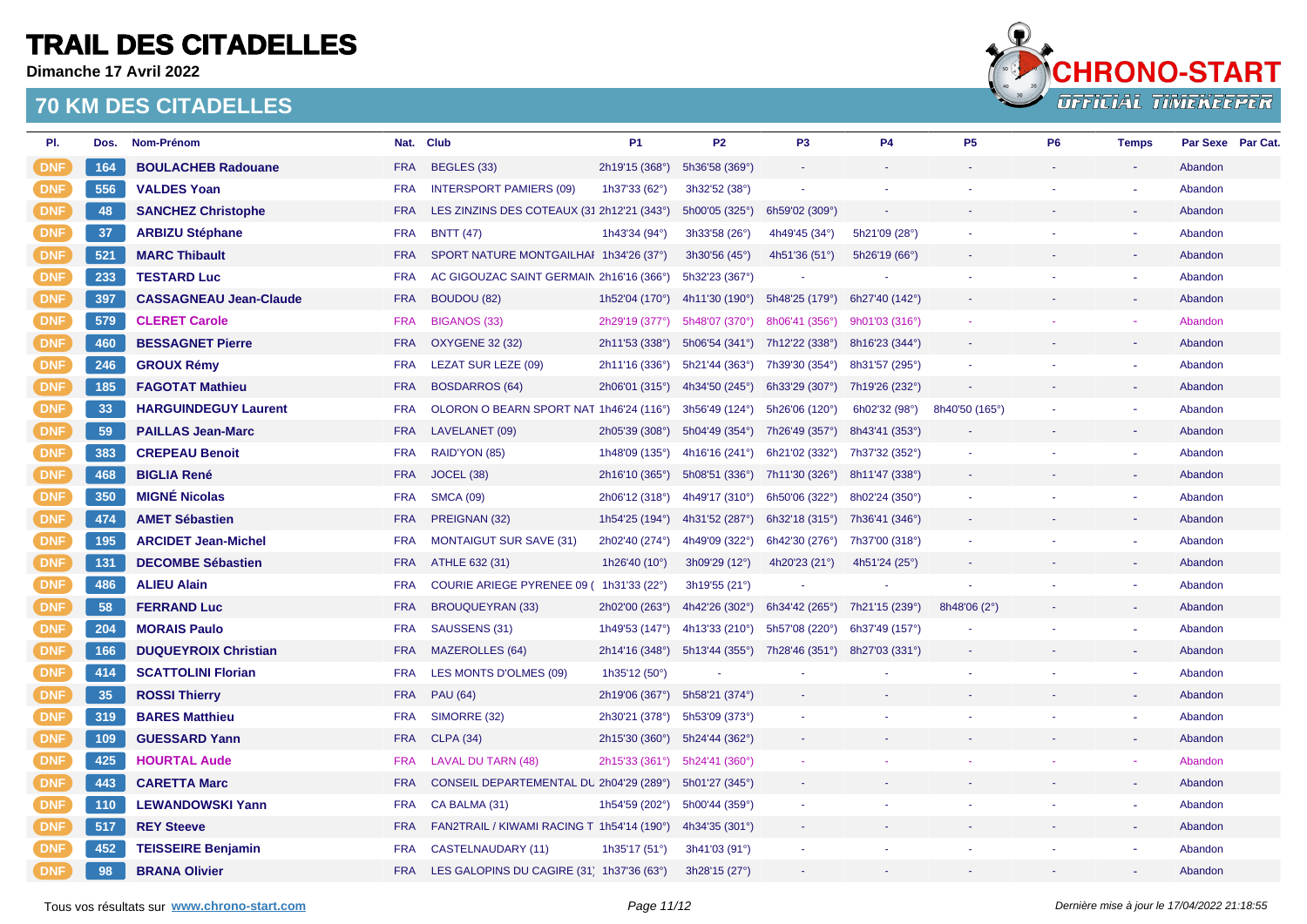**Dimanche 17 Avril 2022**



| PI.        | Dos. | Nom-Prénom                    |            | Nat. Club                                  | <b>P1</b>      | <b>P2</b>                     | P <sub>3</sub>         | <b>P4</b>      | <b>P5</b>      | <b>P6</b> | <b>Temps</b>             | Par Sexe Par Cat. |  |
|------------|------|-------------------------------|------------|--------------------------------------------|----------------|-------------------------------|------------------------|----------------|----------------|-----------|--------------------------|-------------------|--|
| <b>DNF</b> | 164  | <b>BOULACHEB Radouane</b>     | <b>FRA</b> | BEGLES (33)                                | 2h19'15 (368°) | 5h36'58 (369°)                |                        |                |                |           |                          | Abandon           |  |
| <b>DNF</b> | 556  | <b>VALDES Yoan</b>            | <b>FRA</b> | <b>INTERSPORT PAMIERS (09)</b>             | 1h37'33 (62°)  | 3h32'52 (38°)                 |                        |                |                |           |                          | Abandon           |  |
| <b>DNF</b> | 48   | <b>SANCHEZ Christophe</b>     | <b>FRA</b> | LES ZINZINS DES COTEAUX (31 2h12'21 (343°) |                | 5h00'05 (325°)                | 6h59'02 (309°)         |                |                |           | $\blacksquare$           | Abandon           |  |
| <b>DNF</b> | 37   | <b>ARBIZU Stéphane</b>        | <b>FRA</b> | <b>BNTT (47)</b>                           | 1h43'34 (94°)  | 3h33'58 (26°)                 | 4h49'45 (34°)          | 5h21'09 (28°)  |                |           | $\overline{\phantom{a}}$ | Abandon           |  |
| <b>DNF</b> | 521  | <b>MARC Thibault</b>          | <b>FRA</b> | SPORT NATURE MONTGAILHAI 1h34'26 (37°)     |                | 3h30'56(45°)                  | 4h51'36 $(51^{\circ})$ | 5h26'19(66°)   |                |           |                          | Abandon           |  |
| <b>DNF</b> | 233  | <b>TESTARD Luc</b>            | <b>FRA</b> | AC GIGOUZAC SAINT GERMAIN 2h16'16 (366°)   |                | 5h32'23 (367°)                |                        |                |                |           | $\overline{\phantom{a}}$ | Abandon           |  |
| <b>DNF</b> | 397  | <b>CASSAGNEAU Jean-Claude</b> | <b>FRA</b> | BOUDOU (82)                                | 1h52'04 (170°) | 4h11'30 (190°)                | 5h48'25 (179°)         | 6h27'40 (142°) |                |           |                          | Abandon           |  |
| <b>DNF</b> | 579  | <b>CLERET Carole</b>          | <b>FRA</b> | <b>BIGANOS (33)</b>                        | 2h29'19 (377°) | 5h48'07 (370°)                | 8h06'41 (356°)         | 9h01'03 (316°) |                |           |                          | Abandon           |  |
| <b>DNF</b> | 460  | <b>BESSAGNET Pierre</b>       | <b>FRA</b> | <b>OXYGENE 32 (32)</b>                     | 2h11'53 (338°) | 5h06'54 (341°) 7h12'22 (338°) |                        | 8h16'23 (344°) |                |           | ٠                        | Abandon           |  |
| <b>DNF</b> | 246  | <b>GROUX Rémy</b>             | <b>FRA</b> | LEZAT SUR LEZE (09)                        | 2h11'16 (336°) | 5h21'44 (363°)                | 7h39'30 (354°)         | 8h31'57 (295°) |                |           | $\blacksquare$           | Abandon           |  |
| <b>DNF</b> | 185  | <b>FAGOTAT Mathieu</b>        | <b>FRA</b> | <b>BOSDARROS (64)</b>                      | 2h06'01 (315°) | 4h34'50 (245°)                | 6h33'29 (307°)         | 7h19'26 (232°) |                |           | ٠                        | Abandon           |  |
| <b>DNF</b> | 33   | <b>HARGUINDEGUY Laurent</b>   | <b>FRA</b> | OLORON O BEARN SPORT NAT 1h46'24 (116°)    |                | 3h56'49 (124°)                | 5h26'06 (120°)         | 6h02'32 (98°)  | 8h40'50 (165°) |           |                          | Abandon           |  |
| <b>DNF</b> | 59   | <b>PAILLAS Jean-Marc</b>      | <b>FRA</b> | LAVELANET (09)                             | 2h05'39 (308°) | 5h04'49 (354°)                | 7h26'49 (357°)         | 8h43'41 (353°) |                |           | ٠                        | Abandon           |  |
| <b>DNF</b> | 383  | <b>CREPEAU Benoit</b>         | <b>FRA</b> | RAID'YON (85)                              | 1h48'09 (135°) | 4h16'16 (241°) 6h21'02 (332°) |                        | 7h37'32 (352°) |                |           | $\blacksquare$           | Abandon           |  |
| <b>DNF</b> | 468  | <b>BIGLIA René</b>            | <b>FRA</b> | <b>JOCEL (38)</b>                          | 2h16'10 (365°) | $5h08'51$ (336°)              | 7h11'30 (326°)         | 8h11'47 (338°) |                |           |                          | Abandon           |  |
| <b>DNF</b> | 350  | <b>MIGNÉ Nicolas</b>          | <b>FRA</b> | <b>SMCA (09)</b>                           | 2h06'12 (318°) | 4h49'17 (310°)                | 6h50'06 (322°)         | 8h02'24 (350°) |                |           | ÷.                       | Abandon           |  |
| <b>DNF</b> | 474  | <b>AMET Sébastien</b>         | <b>FRA</b> | PREIGNAN (32)                              | 1h54'25 (194°) | 4h31'52 (287°)                | 6h32'18 (315°)         | 7h36'41 (346°) |                |           |                          | Abandon           |  |
| <b>DNF</b> | 195  | <b>ARCIDET Jean-Michel</b>    | <b>FRA</b> | <b>MONTAIGUT SUR SAVE (31)</b>             | 2h02'40 (274°) | 4h49'09 (322°)                | 6h42'30 (276°)         | 7h37'00 (318°) |                |           | $\blacksquare$           | Abandon           |  |
| <b>DNF</b> | 131  | <b>DECOMBE Sébastien</b>      | <b>FRA</b> | ATHLE 632 (31)                             | 1h26'40 (10°)  | 3h09'29 (12°)                 | 4h20'23 (21°)          | 4h51'24 (25°)  |                |           | $\blacksquare$           | Abandon           |  |
| <b>DNF</b> | 486  | <b>ALIEU Alain</b>            | <b>FRA</b> | COURIE ARIEGE PYRENEE 09 ( 1h31'33 (22°)   |                | 3h19'55 (21°)                 |                        |                |                |           |                          | Abandon           |  |
| <b>DNF</b> | 58   | <b>FERRAND Luc</b>            | <b>FRA</b> | <b>BROUQUEYRAN (33)</b>                    | 2h02'00 (263°) | 4h42'26 (302°)                | 6h34'42 (265°)         | 7h21'15 (239°) | 8h48'06 (2°)   |           | ٠                        | Abandon           |  |
| <b>DNF</b> | 204  | <b>MORAIS Paulo</b>           | <b>FRA</b> | SAUSSENS (31)                              | 1h49'53 (147°) | 4h13'33 (210°)                | 5h57'08 (220°)         | 6h37'49 (157°) |                |           |                          | Abandon           |  |
| <b>DNF</b> | 166  | <b>DUQUEYROIX Christian</b>   | <b>FRA</b> | <b>MAZEROLLES</b> (64)                     | 2h14'16 (348°) | 5h13'44 (355°) 7h28'46 (351°) |                        | 8h27'03 (331°) |                |           |                          | Abandon           |  |
| <b>DNF</b> | 414  | <b>SCATTOLINI Florian</b>     | <b>FRA</b> | LES MONTS D'OLMES (09)                     | 1h35'12 (50°)  |                               |                        |                |                |           | $\blacksquare$           | Abandon           |  |
| <b>DNF</b> | 35   | <b>ROSSI Thierry</b>          | <b>FRA</b> | <b>PAU (64)</b>                            | 2h19'06 (367°) | 5h58'21 (374°)                |                        |                |                |           |                          | Abandon           |  |
| <b>DNF</b> | 319  | <b>BARES Matthieu</b>         | <b>FRA</b> | SIMORRE (32)                               | 2h30'21 (378°) | 5h53'09 (373°)                |                        |                |                |           |                          | Abandon           |  |
| <b>DNF</b> | 109  | <b>GUESSARD Yann</b>          | <b>FRA</b> | <b>CLPA (34)</b>                           | 2h15'30 (360°) | 5h24'44 (362°)                |                        |                |                |           | ٠                        | Abandon           |  |
| <b>DNF</b> | 425  | <b>HOURTAL Aude</b>           | <b>FRA</b> | LAVAL DU TARN (48)                         | 2h15'33 (361°) | 5h24'41 (360°)                |                        |                |                |           |                          | Abandon           |  |
| <b>DNF</b> | 443  | <b>CARETTA Marc</b>           | <b>FRA</b> | CONSEIL DEPARTEMENTAL DU 2h04'29 (289°)    |                | 5h01'27 (345°)                |                        |                |                |           |                          | Abandon           |  |
| <b>DNF</b> | 110  | <b>LEWANDOWSKI Yann</b>       | <b>FRA</b> | CA BALMA (31)                              | 1h54'59 (202°) | 5h00'44 (359°)                |                        |                |                |           | $\overline{\phantom{a}}$ | Abandon           |  |
| <b>DNF</b> | 517  | <b>REY Steeve</b>             | <b>FRA</b> | FAN2TRAIL / KIWAMI RACING T 1h54'14 (190°) |                | 4h34'35 (301°)                |                        |                |                |           | $\sim$                   | Abandon           |  |
| <b>DNF</b> | 452  | <b>TEISSEIRE Benjamin</b>     | <b>FRA</b> | <b>CASTELNAUDARY (11)</b>                  | 1h35'17 (51°)  | 3h41'03 (91°)                 |                        |                |                |           |                          | Abandon           |  |
| <b>DNF</b> | 98   | <b>BRANA Olivier</b>          | <b>FRA</b> | LES GALOPINS DU CAGIRE (31) 1h37'36 (63°)  |                | 3h28'15 (27°)                 |                        |                |                |           |                          | Abandon           |  |